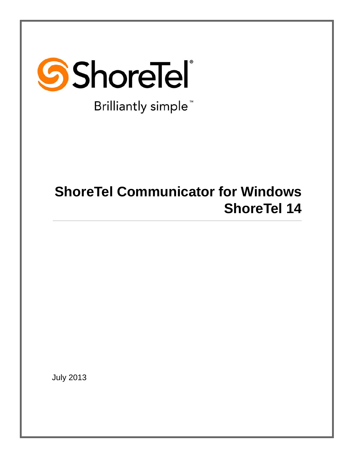

Brilliantly simple<sup>™</sup>

# **ShoreTel Communicator for Windows ShoreTel 14**

July 2013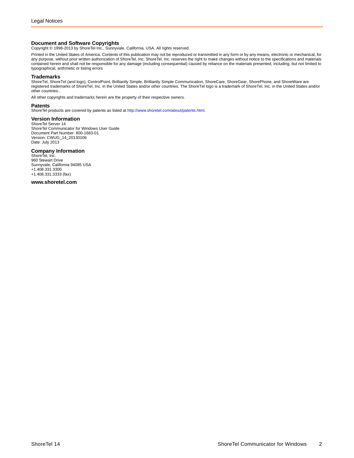**Document and Software Copyrights**<br>Copyright © 1998-2013 by ShoreTel Inc., Sunnyvale, California, USA. All rights reserved.

Printed in the United States of America. Contents of this publication may not be reproduced or transmitted in any form or by any means, electronic or mechanical, for any purpose, without prior written authorization of ShoreTel, Inc. ShoreTel, Inc. reserves the right to make changes without notice to the specifications and materials contained herein and shall not be responsible for any damage (including consequential) caused by reliance on the materials presented, including, but not limited to typographical, arithmetic or listing errors

#### **Trademarks**

ShoreTel, ShoreTel (and logo), ControlPoint, Brilliantly Simple, Brilliantly Simple Communication, ShoreCare, ShoreGear, ShorePhone, and ShoreWare are registered trademarks of ShoreTel, Inc. in the United States and/or other countries. The ShoreTel logo is a trademark of ShoreTel, Inc. in the United States and/or other countries..

All other copyrights and trademarks herein are the property of their respective owners.

#### **Patents**

ShoreTel products are covered by patents as listed at [http://www.shoretel.com/about/patents.html.](http://www.shoretel.com/about/patents.html)

#### **Version Information**

ShoreTel Server 14 ShoreTel Communicator for Windows User Guide Document Part Number: 800-1683-01 Version: CWUG\_14\_20130106 Date: July 2013

#### **Company Information**

ShoreTel, Inc. 960 Stewart Drive Sunnyvale, California 94085 USA +1.408.331.3300 +1.408.331.3333 (fax)

**www.shoretel.com**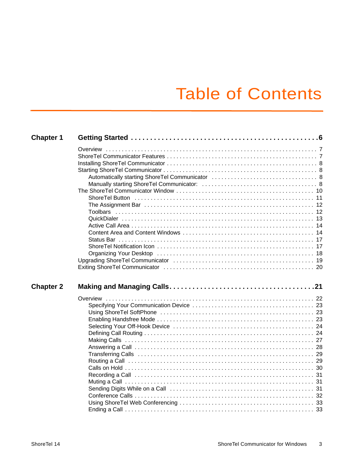# Table of Contents

| <b>Chapter 1</b> |  |
|------------------|--|
|                  |  |
|                  |  |
|                  |  |
|                  |  |
|                  |  |
|                  |  |
|                  |  |
|                  |  |
|                  |  |
|                  |  |
|                  |  |
|                  |  |
|                  |  |
|                  |  |
|                  |  |
|                  |  |
|                  |  |
|                  |  |
| <b>Chapter 2</b> |  |
|                  |  |
|                  |  |
|                  |  |
|                  |  |
|                  |  |
|                  |  |
|                  |  |
|                  |  |
|                  |  |
|                  |  |
|                  |  |
|                  |  |
|                  |  |
|                  |  |
|                  |  |
|                  |  |
|                  |  |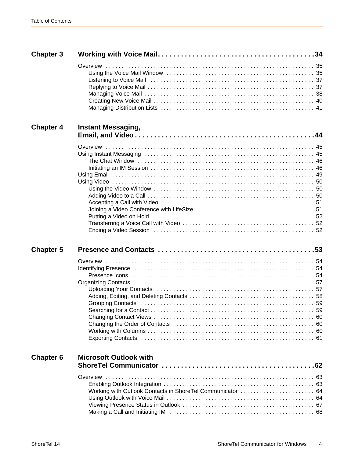| <b>Chapter 3</b> |                                                            |  |
|------------------|------------------------------------------------------------|--|
|                  |                                                            |  |
| <b>Chapter 4</b> | <b>Instant Messaging,</b>                                  |  |
|                  |                                                            |  |
| <b>Chapter 5</b> |                                                            |  |
|                  |                                                            |  |
| <b>Chapter 6</b> | <b>Microsoft Outlook with</b>                              |  |
|                  | Working with Outlook Contacts in ShoreTel Communicator  64 |  |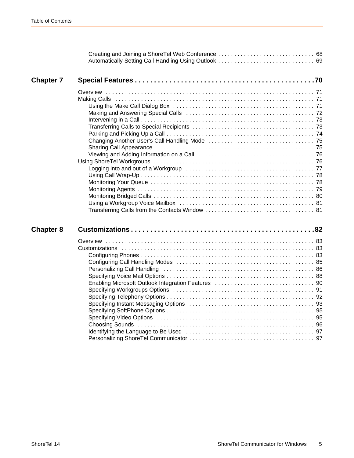| Making and Answering Special Calls (all contained according contained and T2                                                                           |  |
|--------------------------------------------------------------------------------------------------------------------------------------------------------|--|
|                                                                                                                                                        |  |
| Specifying Instant Messaging Options (and the content of the content of the Specifying Instant Messaging Options (and the content of the content of 93 |  |
|                                                                                                                                                        |  |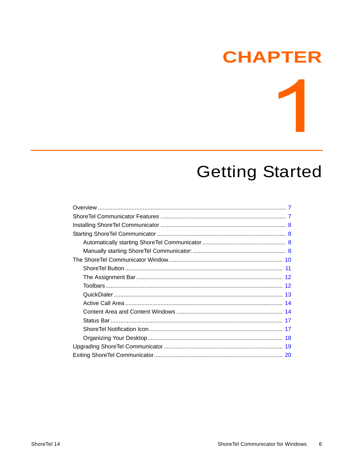# **CHAPTER**

# **Getting Started**

<span id="page-5-0"></span>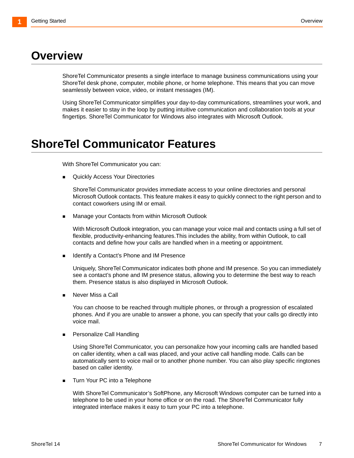# <span id="page-6-0"></span>**Overview**

ShoreTel Communicator presents a single interface to manage business communications using your ShoreTel desk phone, computer, mobile phone, or home telephone. This means that you can move seamlessly between voice, video, or instant messages (IM).

Using ShoreTel Communicator simplifies your day-to-day communications, streamlines your work, and makes it easier to stay in the loop by putting intuitive communication and collaboration tools at your fingertips. ShoreTel Communicator for Windows also integrates with Microsoft Outlook.

# <span id="page-6-1"></span>**ShoreTel Communicator Features**

With ShoreTel Communicator you can:

Quickly Access Your Directories

ShoreTel Communicator provides immediate access to your online directories and personal Microsoft Outlook contacts. This feature makes it easy to quickly connect to the right person and to contact coworkers using IM or email.

**Manage your Contacts from within Microsoft Outlook** 

With Microsoft Outlook integration, you can manage your voice mail and contacts using a full set of flexible, productivity-enhancing features.This includes the ability, from within Outlook, to call contacts and define how your calls are handled when in a meeting or appointment.

**If Identify a Contact's Phone and IM Presence** 

Uniquely, ShoreTel Communicator indicates both phone and IM presence. So you can immediately see a contact's phone and IM presence status, allowing you to determine the best way to reach them. Presence status is also displayed in Microsoft Outlook.

Never Miss a Call

You can choose to be reached through multiple phones, or through a progression of escalated phones. And if you are unable to answer a phone, you can specify that your calls go directly into voice mail.

**Personalize Call Handling** 

Using ShoreTel Communicator, you can personalize how your incoming calls are handled based on caller identity, when a call was placed, and your active call handling mode. Calls can be automatically sent to voice mail or to another phone number. You can also play specific ringtones based on caller identity.

Turn Your PC into a Telephone

With ShoreTel Communicator's SoftPhone, any Microsoft Windows computer can be turned into a telephone to be used in your home office or on the road. The ShoreTel Communicator fully integrated interface makes it easy to turn your PC into a telephone.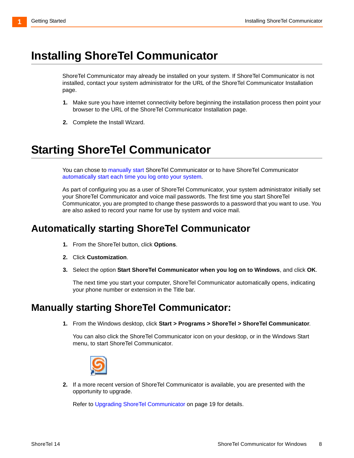# <span id="page-7-0"></span>**Installing ShoreTel Communicator**

ShoreTel Communicator may already be installed on your system. If ShoreTel Communicator is not installed, contact your system administrator for the URL of the ShoreTel Communicator Installation page.

- **1.** Make sure you have internet connectivity before beginning the installation process then point your browser to the URL of the ShoreTel Communicator Installation page.
- **2.** Complete the Install Wizard.

# <span id="page-7-1"></span>**Starting ShoreTel Communicator**

You can chose t[o manually start](#page-7-3) ShoreTel Communicator or to have ShoreTel Communicator automatically start each time you log onto your system.

As part of configuring you as a user of ShoreTel Communicator, your system administrator initially set your ShoreTel Communicator and voice mail passwords. The first time you start ShoreTel Communicator, you are prompted to change these passwords to a password that you want to use. You are also asked to record your name for use by system and voice mail.

## <span id="page-7-2"></span>**Automatically starting ShoreTel Communicator**

- **1.** From the ShoreTel button, click **Options**.
- **2.** Click **Customization**.
- **3.** Select the option **Start ShoreTel Communicator when you log on to Windows**, and click **OK**.

The next time you start your computer, ShoreTel Communicator automatically opens, indicating your phone number or extension in the Title bar.

## <span id="page-7-3"></span>**Manually starting ShoreTel Communicator:**

**1.** From the Windows desktop, click **Start > Programs > ShoreTel > ShoreTel Communicator**.

You can also click the ShoreTel Communicator icon on your desktop, or in the Windows Start menu, to start ShoreTel Communicator.



**2.** If a more recent version of ShoreTel Communicator is available, you are presented with the opportunity to upgrade.

Refer to [Upgrading ShoreTel Communicator on page 19](#page-18-0) for details.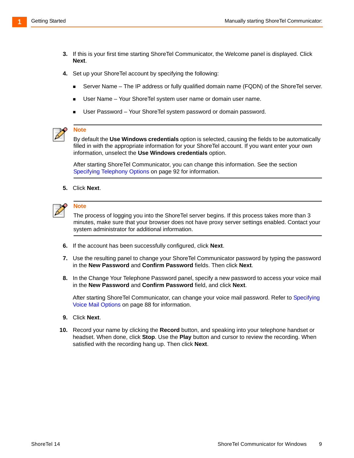- **3.** If this is your first time starting ShoreTel Communicator, the Welcome panel is displayed. Click **Next**.
- **4.** Set up your ShoreTel account by specifying the following:
	- Server Name The IP address or fully qualified domain name (FQDN) of the ShoreTel server.
	- User Name Your ShoreTel system user name or domain user name.
	- User Password Your ShoreTel system password or domain password.



#### **Note**

By default the **Use Windows credentials** option is selected, causing the fields to be automatically filled in with the appropriate information for your ShoreTel account. If you want enter your own information, unselect the **Use Windows credentials** option.

After starting ShoreTel Communicator, you can change this information. See the section [Specifying Telephony Options on page 92](#page-91-1) for information.

**5.** Click **Next**.



#### **Note**

The process of logging you into the ShoreTel server begins. If this process takes more than 3 minutes, make sure that your browser does not have proxy server settings enabled. Contact your system administrator for additional information.

- **6.** If the account has been successfully configured, click **Next**.
- **7.** Use the resulting panel to change your ShoreTel Communicator password by typing the password in the **New Password** and **Confirm Password** fields. Then click **Next**.
- **8.** In the Change Your Telephone Password panel, specify a new password to access your voice mail in the **New Password** and **Confirm Password** field, and click **Next**.

After starting ShoreTel Communicator, can change your voice mail password. Refer to [Specifying](#page-87-1)  [Voice Mail Options on page 88](#page-87-1) for information.

- **9.** Click **Next**.
- **10.** Record your name by clicking the **Record** button, and speaking into your telephone handset or headset. When done, click **Stop**. Use the **Play** button and cursor to review the recording. When satisfied with the recording hang up. Then click **Next**.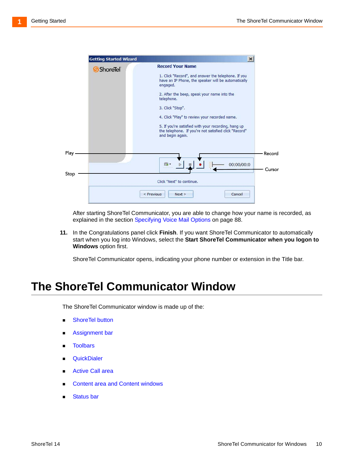

After starting ShoreTel Communicator, you are able to change how your name is recorded, as explained in the section [Specifying Voice Mail Options on page 88.](#page-87-1)

**11.** In the Congratulations panel click **Finish**. If you want ShoreTel Communicator to automatically start when you log into Windows, select the **Start ShoreTel Communicator when you logon to Windows** option first.

ShoreTel Communicator opens, indicating your phone number or extension in the Title bar.

## <span id="page-9-0"></span>**The ShoreTel Communicator Window**

The ShoreTel Communicator window is made up of the:

- **Bullet** ShoreTel button
- **[Assignment bar](#page-11-0)**
- **n** Toolbars
- **QuickDialer**
- **EXEC** Active Call area
- [Content area and Content windows](#page-13-1)
- Status bar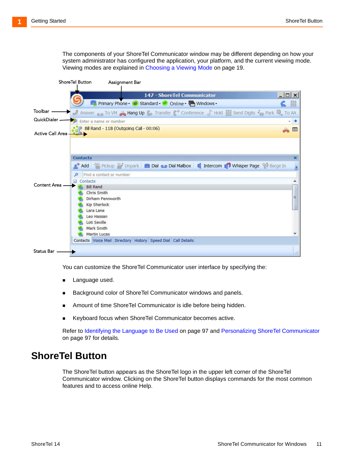The components of your ShoreTel Communicator window may be different depending on how your system administrator has configured the application, your platform, and the current viewing mode. Viewing modes are explained in [Choosing a Viewing Mode on page 19](#page-18-1).

|                   | ShoreTel Button<br><b>Assignment Bar</b>                                                                                                                                                                                           |                                 |
|-------------------|------------------------------------------------------------------------------------------------------------------------------------------------------------------------------------------------------------------------------------|---------------------------------|
|                   | 147 - ShoreTel Communicator<br>Primary Phone V Standard Online P Windows                                                                                                                                                           | $ \Box$ $\times$<br><b>Base</b> |
| Toolbar -         | Answer To VM Hang Up Transfer ( Conference Hold Send Digits A Park D, To AA                                                                                                                                                        |                                 |
| QuickDialer -     | Enter a name or number                                                                                                                                                                                                             | $+$ +                           |
| Active Call Area- | Bill Rand - 118 (Outgoing Call - 00:06)                                                                                                                                                                                            | $\bullet$                       |
|                   | <b>Contacts</b><br>A Add Pickup Minpark 2 Dial o Dial Mailbox 1 Intercom 1 Minsper Page 3 Barge In                                                                                                                                 | $\mathbf x$                     |
|                   | Find a contact or number<br>Contacts<br>$\equiv$                                                                                                                                                                                   |                                 |
| Content Area      | <b>Bill Rand</b><br><b>Chris Smith</b><br>Dirham Pennworth<br><b>Kip Sherlock</b><br>Lara Lane<br>Leo Hassan<br>Loti Seville<br>Mark Smith<br><b>Martin Lucas</b><br>Contacts Voice Mail Directory History Speed Dial Call Details | 丰                               |
| <b>Status Bar</b> |                                                                                                                                                                                                                                    | ui.                             |

You can customize the ShoreTel Communicator user interface by specifying the:

- **Language used.**
- Background color of ShoreTel Communicator windows and panels.
- Amount of time ShoreTel Communicator is idle before being hidden.
- Keyboard focus when ShoreTel Communicator becomes active.

Refer to [Identifying the Language to Be Used on page 97](#page-96-2) and [Personalizing ShoreTel Communicator](#page-96-3) [on page 97](#page-96-3) for details.

## <span id="page-10-0"></span>**ShoreTel Button**

The ShoreTel button appears as the ShoreTel logo in the upper left corner of the ShoreTel Communicator window. Clicking on the ShoreTel button displays commands for the most common features and to access online Help.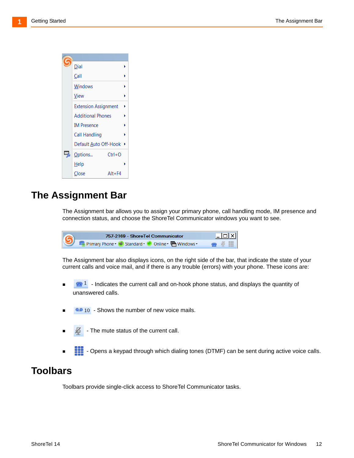

## <span id="page-11-0"></span>**The Assignment Bar**

The Assignment bar allows you to assign your primary phone, call handling mode, IM presence and connection status, and choose the ShoreTel Communicator windows you want to see.

757-2169 - ShoreTel Communicator  $\Box$   $\times$ Primary Phone + Standard + O Online + H Windows + H

The Assignment bar also displays icons, on the right side of the bar, that indicate the state of your current calls and voice mail, and if there is any trouble (errors) with your phone. These icons are:

- $\blacksquare$  I Indicates the current call and on-hook phone status, and displays the quantity of unanswered calls.
- <sup>10</sup> 10 Shows the number of new voice mails.
- The mute status of the current call.
- Opens a keypad through which dialing tones (DTMF) can be sent during active voice calls.

## <span id="page-11-1"></span>**Toolbars**

Toolbars provide single-click access to ShoreTel Communicator tasks.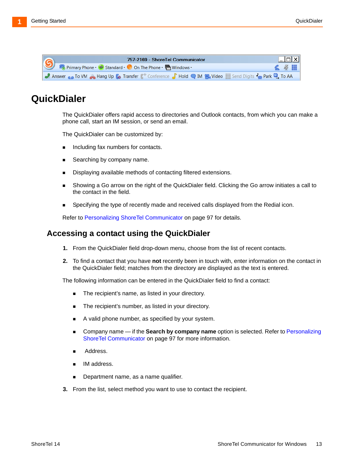| 757-2169 - Shore Tel Communicator                                                                                                   |  | $   $ $  $ $\times$ $ $ |
|-------------------------------------------------------------------------------------------------------------------------------------|--|-------------------------|
| Primary Phone • C Standard • C On The Phone • C Windows •                                                                           |  | $\leq$ $\frac{1}{2}$    |
| Answer on To VM . Hang Up C. Transfer C <sup>+</sup> Conference <b>Notify Community</b> Video Send Digits A Park <sup>O</sup> To AA |  |                         |

## <span id="page-12-0"></span>**QuickDialer**

The QuickDialer offers rapid access to directories and Outlook contacts, from which you can make a phone call, start an IM session, or send an email.

The QuickDialer can be customized by:

- **Including fax numbers for contacts.**
- Searching by company name.
- Displaying available methods of contacting filtered extensions.
- Showing a Go arrow on the right of the QuickDialer field. Clicking the Go arrow initiates a call to the contact in the field.
- **Specifying the type of recently made and received calls displayed from the Redial icon.**

Refer to [Personalizing ShoreTel Communicator on page 97](#page-96-3) for details.

#### **Accessing a contact using the QuickDialer**

- **1.** From the QuickDialer field drop-down menu, choose from the list of recent contacts.
- **2.** To find a contact that you have **not** recently been in touch with, enter information on the contact in the QuickDialer field; matches from the directory are displayed as the text is entered.

The following information can be entered in the QuickDialer field to find a contact:

- The recipient's name, as listed in your directory.
- **The recipient's number, as listed in your directory.**
- A valid phone number, as specified by your system.
- Company name if the **Search by company name** option is selected. Refer to [Personalizing](#page-96-3)  [ShoreTel Communicator on page 97](#page-96-3) for more information.
- Address.
- IM address.
- Department name, as a name qualifier.
- **3.** From the list, select method you want to use to contact the recipient.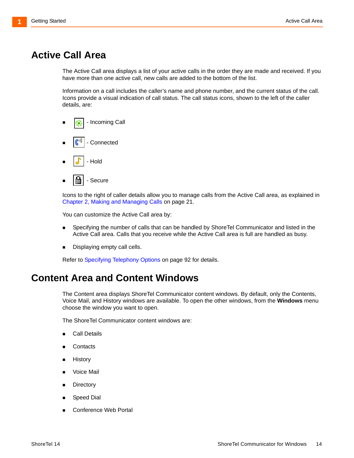## <span id="page-13-0"></span>**Active Call Area**

The Active Call area displays a list of your active calls in the order they are made and received. If you have more than one active call, new calls are added to the bottom of the list.

Information on a call includes the caller's name and phone number, and the current status of the call. Icons provide a visual indication of call status. The call status icons, shown to the left of the caller details, are:

- Incoming Call - Connected - Hold
- **■** Secure

Icons to the right of caller details allow you to manage calls from the Active Call area, as explained in [Chapter 2, Making and Managing Calls on page 21](#page-20-1).

You can customize the Active Call area by:

- Specifying the number of calls that can be handled by ShoreTel Communicator and listed in the Active Call area. Calls that you receive while the Active Call area is full are handled as busy.
- **Displaying empty call cells.**

Refer to [Specifying Telephony Options on page 92](#page-91-1) for details.

## <span id="page-13-1"></span>**Content Area and Content Windows**

The Content area displays ShoreTel Communicator content windows. By default, only the Contents, Voice Mail, and History windows are available. To open the other windows, from the **Windows** menu choose the window you want to open.

The ShoreTel Communicator content windows are:

- **Call Details**
- **[Contacts](#page-14-0)**
- **History**
- Voice Mail
- **[Directory](#page-15-0)**
- [Speed Dial](#page-16-2)
- Conference Web Portal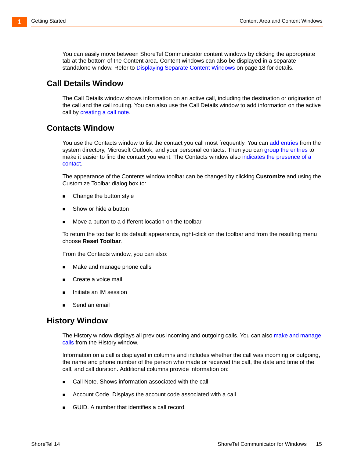You can easily move between ShoreTel Communicator content windows by clicking the appropriate tab at the bottom of the Content area. Content windows can also be displayed in a separate standalone window. Refer to [Displaying Separate Content Windows on page 18](#page-17-1) for details.

## **Call Details Window**

The Call Details window shows information on an active call, including the destination or origination of the call and the call routing. You can also use the Call Details window to add information on the active call by [creating a call note.](#page-75-2)

### <span id="page-14-0"></span>**Contacts Window**

You use the Contacts window to list the contact you call most frequently. You can [add entries](#page-57-1) from the system directory, Microsoft Outlook, and your personal contacts. Then you can [group the entries](#page-58-2) to make it easier to find the contact you want. The Contacts window also [indicates the presence of a](#page-53-3)  [contact](#page-53-3).

The appearance of the Contents window toolbar can be changed by clicking **Customize** and using the Customize Toolbar dialog box to:

- Change the button style
- Show or hide a button
- Move a button to a different location on the toolbar

To return the toolbar to its default appearance, right-click on the toolbar and from the resulting menu choose **Reset Toolbar**.

From the Contacts window, you can also:

- **[Make and manage phone calls](#page-20-1)**
- [Create a voice mail](#page-39-1)
- [Initiate an IM session](#page-45-2)
- [Send an email](#page-48-1)

#### **History Window**

[The History window displays all previous incoming and outgoing calls. You can also m](#page-20-1)ake and manage calls from the History window.

Information on a call is displayed in columns and includes whether the call was incoming or outgoing, the name and phone number of the person who made or received the call, the date and time of the call, and call duration. Additional columns provide information on:

- Call Note. Shows information associated with the call.
- **Account Code. Displays the account code associated with a call.**
- **GUID.** A number that identifies a call record.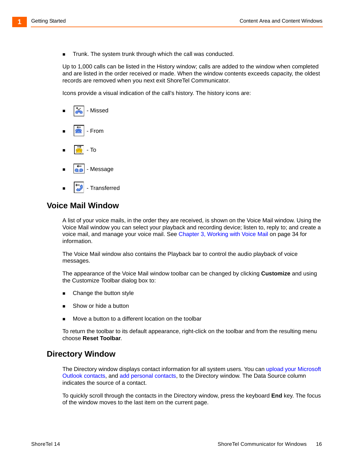**Trunk.** The system trunk through which the call was conducted.

Up to 1,000 calls can be listed in the History window; calls are added to the window when completed and are listed in the order received or made. When the window contents exceeds capacity, the oldest records are removed when you next exit ShoreTel Communicator.

Icons provide a visual indication of the call's history. The history icons are:



### **Voice Mail Window**

A list of your voice mails, in the order they are received, is shown on the Voice Mail window. Using the Voice Mail window you can select your playback and recording device; listen to, reply to; and create a voice mail, and manage your voice mail. See [Chapter 3, Working with Voice Mail on page 34](#page-33-1) for information.

The Voice Mail window also contains the Playback bar to control the audio playback of voice messages.

The appearance of the Voice Mail window toolbar can be changed by clicking **Customize** and using the Customize Toolbar dialog box to:

- Change the button style
- Show or hide a button
- Move a button to a different location on the toolbar

To return the toolbar to its default appearance, right-click on the toolbar and from the resulting menu choose **Reset Toolbar**.

### <span id="page-15-0"></span>**Directory Window**

[The Directory window displays contact information for all system users. You can](#page-56-2) upload your Microsoft Outlook contact[s, and](#page-57-2) add personal contacts, to the Directory window. The Data Source column indicates the source of a contact.

To quickly scroll through the contacts in the Directory window, press the keyboard **End** key. The focus of the window moves to the last item on the current page.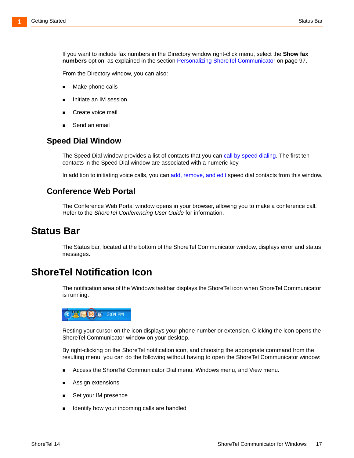If you want to include fax numbers in the Directory window right-click menu, select the **Show fax numbers** option, as explained in the section [Personalizing ShoreTel Communicator on page 97.](#page-96-3)

From the Directory window, you can also:

- Make phone calls
- [Initiate an IM session](#page-45-2)
- [Create voice mail](#page-39-1)
- [Send an email](#page-48-1)

#### <span id="page-16-2"></span>**Speed Dial Window**

[The Speed Dial window provides a list of contacts that you can](#page-27-1) call by speed dialing. The first ten contacts in the Speed Dial window are associated with a numeric key.

[In addition to initiating voice calls, you can](#page-58-3) add, remove, and edit speed dial contacts from this window.

#### **Conference Web Portal**

The Conference Web Portal window opens in your browser, allowing you to make a conference call. Refer to the *ShoreTel Conferencing User Guide* for information.

## <span id="page-16-0"></span>**Status Bar**

The Status bar, located at the bottom of the ShoreTel Communicator window, displays error and status messages.

## <span id="page-16-1"></span>**ShoreTel Notification Icon**

The notification area of the Windows taskbar displays the ShoreTel icon when ShoreTel Communicator is running.



Resting your cursor on the icon displays your phone number or extension. Clicking the icon opens the ShoreTel Communicator window on your desktop.

By right-clicking on the ShoreTel notification icon, and choosing the appropriate command from the resulting menu, you can do the following without having to open the ShoreTel Communicator window:

- Access the ShoreTel Communicator Dial menu, Windows menu, and View menu.
- [Assign extensions](#page-23-2)
- [Set your IM presence](#page-55-0)
- [Identify how your incoming calls are handled](#page-24-0)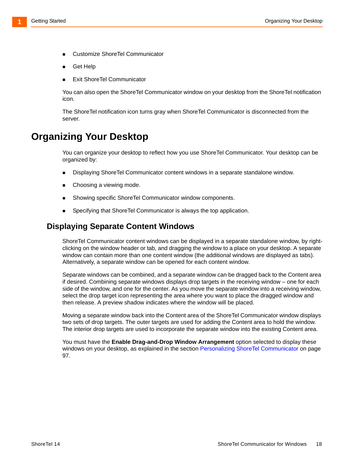- [Customize ShoreTel Communicator](#page-81-1)
- Get Help
- [Exit ShoreTel Communicator](#page-19-0)

You can also open the ShoreTel Communicator window on your desktop from the ShoreTel notification icon.

The ShoreTel notification icon turns gray when ShoreTel Communicator is disconnected from the server.

## <span id="page-17-0"></span>**Organizing Your Desktop**

You can organize your desktop to reflect how you use ShoreTel Communicator. Your desktop can be organized by:

- [Displaying ShoreTel Communicator content windows in a separate standalone window.](#page-17-1)
- [Choosing a viewing mode.](#page-18-1)
- [Showing specific ShoreTel Communicator window components.](#page-18-2)
- [Specifying that ShoreTel Communicator is always the top application.](#page-18-3)

#### <span id="page-17-1"></span>**Displaying Separate Content Windows**

ShoreTel Communicator content windows can be displayed in a separate standalone window, by rightclicking on the window header or tab, and dragging the window to a place on your desktop. A separate window can contain more than one content window (the additional windows are displayed as tabs). Alternatively, a separate window can be opened for each content window.

Separate windows can be combined, and a separate window can be dragged back to the Content area if desired. Combining separate windows displays drop targets in the receiving window – one for each side of the window, and one for the center. As you move the separate window into a receiving window, select the drop target icon representing the area where you want to place the dragged window and then release. A preview shadow indicates where the window will be placed.

Moving a separate window back into the Content area of the ShoreTel Communicator window displays two sets of drop targets. The outer targets are used for adding the Content area to hold the window. The interior drop targets are used to incorporate the separate window into the existing Content area.

You must have the **Enable Drag-and-Drop Window Arrangement** option selected to display these windows on your desktop, as explained in the section Personalizing ShoreTel Communicator on page [97](#page-96-3).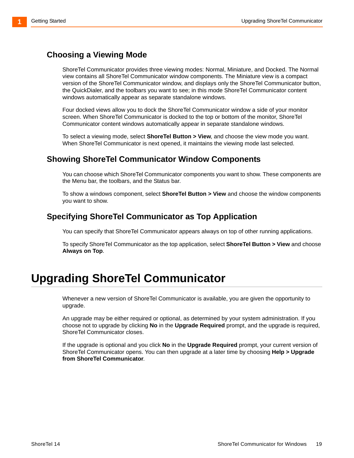## <span id="page-18-1"></span>**Choosing a Viewing Mode**

ShoreTel Communicator provides three viewing modes: Normal, Miniature, and Docked. The Normal view contains all ShoreTel Communicator window components. The Miniature view is a compact version of the ShoreTel Communicator window, and displays only the ShoreTel Communicator button, the QuickDialer, and the toolbars you want to see; in this mode ShoreTel Communicator content windows automatically appear as separate standalone windows.

Four docked views allow you to dock the ShoreTel Communicator window a side of your monitor screen. When ShoreTel Communicator is docked to the top or bottom of the monitor, ShoreTel Communicator content windows automatically appear in separate standalone windows.

To select a viewing mode, select **ShoreTel Button > View**, and choose the view mode you want. When ShoreTel Communicator is next opened, it maintains the viewing mode last selected.

### <span id="page-18-2"></span>**Showing ShoreTel Communicator Window Components**

You can choose which ShoreTel Communicator components you want to show. These components are the Menu bar, the toolbars, and the Status bar.

To show a windows component, select **ShoreTel Button > View** and choose the window components you want to show.

### <span id="page-18-3"></span>**Specifying ShoreTel Communicator as Top Application**

You can specify that ShoreTel Communicator appears always on top of other running applications.

To specify ShoreTel Communicator as the top application, select **ShoreTel Button > View** and choose **Always on Top**.

# <span id="page-18-0"></span>**Upgrading ShoreTel Communicator**

Whenever a new version of ShoreTel Communicator is available, you are given the opportunity to upgrade.

An upgrade may be either required or optional, as determined by your system administration. If you choose not to upgrade by clicking **No** in the **Upgrade Required** prompt, and the upgrade is required, ShoreTel Communicator closes.

If the upgrade is optional and you click **No** in the **Upgrade Required** prompt, your current version of ShoreTel Communicator opens. You can then upgrade at a later time by choosing **Help > Upgrade from ShoreTel Communicator**.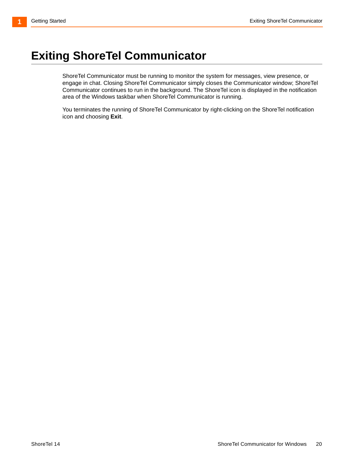# <span id="page-19-0"></span>**Exiting ShoreTel Communicator**

ShoreTel Communicator must be running to monitor the system for messages, view presence, or engage in chat. Closing ShoreTel Communicator simply closes the Communicator window; ShoreTel Communicator continues to run in the background. The ShoreTel icon is displayed in the notification area of the Windows taskbar when ShoreTel Communicator is running.

You terminates the running of ShoreTel Communicator by right-clicking on the ShoreTel notification icon and choosing **Exit**.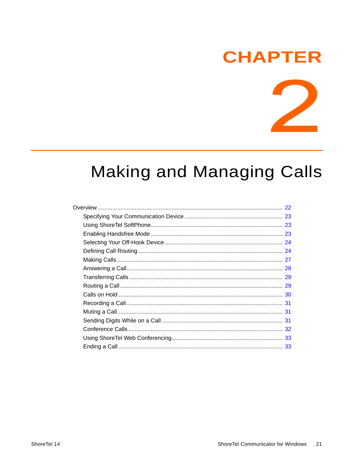# **CHAPTER**



# <span id="page-20-1"></span><span id="page-20-0"></span>**Making and Managing Calls**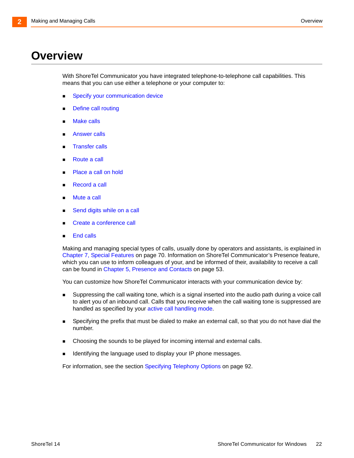# <span id="page-21-0"></span>**Overview**

With ShoreTel Communicator you have integrated telephone-to-telephone call capabilities. This means that you can use either a telephone or your computer to:

- **Specify your communication device**
- **[Define call routing](#page-23-1)**
- **[Make calls](#page-26-0)**
- [Answer calls](#page-27-0)
- [Transfer calls](#page-28-0)
- [Route a call](#page-28-1)
- [Place a call on hold](#page-29-0)
- [Record a call](#page-30-0)
- **[Mute a call](#page-30-1)**
- [Send digits while on a call](#page-30-2)
- **[Create a conference call](#page-31-0)**
- **End calls**

Making and managing special types of calls, usually done by operators and assistants, is explained in [Chapter 7, Special Features on page 70.](#page-69-1) Information on ShoreTel Communicator's Presence feature, which you can use to inform colleagues of your, and be informed of their, availability to receive a call can be found in [Chapter 5, Presence and Contacts on page 53.](#page-52-1)

You can customize how ShoreTel Communicator interacts with your communication device by:

- [Suppressing the call waiting tone, which is a signal inserted into the audio path during a voice call](#page-24-1)  [to alert you of an inbound call. Calls that you receive when the call waiting tone is suppressed are](#page-24-1)  [handled as specified by your](#page-24-1) active call handling mode.
- **Specifying the prefix that must be dialed to make an external call, so that you do not have dial the** number.
- **EXECHOOSING the sounds to be played for incoming internal and external calls.**
- Identifying the language used to display your IP phone messages.

For information, see the section [Specifying Telephony Options on page 92.](#page-91-1)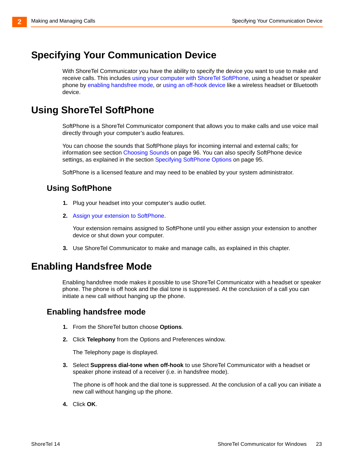# <span id="page-22-0"></span>**Specifying Your Communication Device**

With ShoreTel Communicator you have the ability to specify the device you want to use to make and receive calls. This includes [using your computer with ShoreTel SoftPhone](#page-22-1)[, using a headset or speaker](#page-22-2)  [phone by e](#page-22-2)nabling handsfree mode, or [using an off-hook device](#page-23-0) like a wireless headset or Bluetooth device.

## <span id="page-22-1"></span>**Using ShoreTel SoftPhone**

SoftPhone is a ShoreTel Communicator component that allows you to make calls and use voice mail directly through your computer's audio features.

You can choose the sounds that SoftPhone plays for incoming internal and external calls; for information see section [Choosing Sounds on page 96](#page-95-1). You can also specify SoftPhone device settings, as explained in the section [Specifying SoftPhone Options on page 95](#page-94-2).

SoftPhone is a licensed feature and may need to be enabled by your system administrator.

## **Using SoftPhone**

- **1.** Plug your headset into your computer's audio outlet.
- **2.** Assign your extension to SoftPhone.

Your extension remains assigned to SoftPhone until you either assign your extension to another device or shut down your computer.

**3.** Use ShoreTel Communicator to make and manage calls, as explained in this chapter.

## <span id="page-22-2"></span>**Enabling Handsfree Mode**

Enabling handsfree mode makes it possible to use ShoreTel Communicator with a headset or speaker phone. The phone is off hook and the dial tone is suppressed. At the conclusion of a call you can initiate a new call without hanging up the phone.

## **Enabling handsfree mode**

- **1.** From the ShoreTel button choose **Options**.
- **2.** Click **Telephony** from the Options and Preferences window.

The Telephony page is displayed.

**3.** Select **Suppress dial-tone when off-hook** to use ShoreTel Communicator with a headset or speaker phone instead of a receiver (i.e. in handsfree mode).

The phone is off hook and the dial tone is suppressed. At the conclusion of a call you can initiate a new call without hanging up the phone.

**4.** Click **OK**.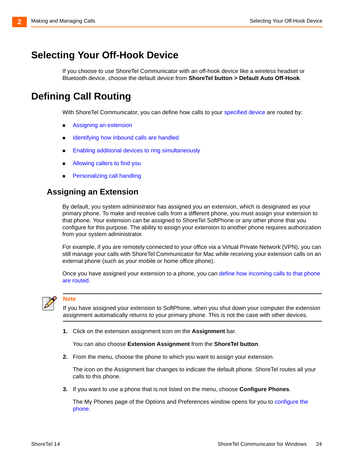## <span id="page-23-0"></span>**Selecting Your Off-Hook Device**

If you choose to use ShoreTel Communicator with an off-hook device like a wireless headset or Bluetooth device, choose the default device from **ShoreTel button > Default Auto Off-Hook**.

## <span id="page-23-1"></span>**Defining Call Routing**

With ShoreTel Communicator, you can define how calls to your [specified device](#page-22-0) are routed by:

- **Assigning an extension**
- **If [Identifying how inbound calls are handled](#page-24-1)**
- **[Enabling additional devices to ring simultaneously](#page-24-2)**
- **[Allowing callers to find you](#page-25-0)**
- **[Personalizing call handling](#page-25-1)**

## <span id="page-23-2"></span>**Assigning an Extension**

By default, you system administrator has assigned you an extension, which is designated as your primary phone. To make and receive calls from a different phone, you must assign your extension to that phone. Your extension can be assigned to ShoreTel SoftPhone or any other phone that you configure for this purpose. The ability to assign your extension to another phone requires authorization from your system administrator.

For example, if you are remotely connected to your office via a Virtual Private Network (VPN), you can still manage your calls with ShoreTel Communicator for Mac while receiving your extension calls on an external phone (such as your mobile or home office phone).

Once you have assigned your extension to a phone, you can [define how incoming calls to that phone](#page-23-1)  [are routed.](#page-23-1)



#### **Note**

If you have assigned your extension to SoftPhone, when you shut down your computer the extension assignment automatically returns to your primary phone. This is not the case with other devices.

**1.** Click on the extension assignment icon on the **Assignment** bar.

You can also choose **Extension Assignment** from the **ShoreTel button**.

**2.** From the menu, choose the phone to which you want to assign your extension.

The icon on the Assignment bar changes to indicate the default phone. ShoreTel routes all your calls to this phone.

**3.** If you want to use a phone that is not listed on the menu, choose **Configure Phones**.

[The My Phones page of the Options and Preferences window opens for you to](#page-82-3) configure the phone.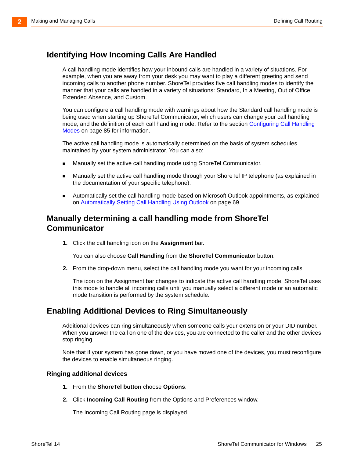## <span id="page-24-1"></span>**Identifying How Incoming Calls Are Handled**

<span id="page-24-0"></span>A call handling mode identifies how your inbound calls are handled in a variety of situations. For example, when you are away from your desk you may want to play a different greeting and send incoming calls to another phone number. ShoreTel provides five call handling modes to identify the manner that your calls are handled in a variety of situations: Standard, In a Meeting, Out of Office, Extended Absence, and Custom.

You can configure a call handling mode with warnings about how the Standard call handling mode is being used when starting up ShoreTel Communicator, which users can change your call handling mode, and the definition of each call handling mode. Refer to the section [Configuring Call Handling](#page-84-1)  [Modes on page 85](#page-84-1) for information.

The active call handling mode is automatically determined on the basis of system schedules maintained by your system administrator. You can also:

- **Manually set the active call handling mode using ShoreTel Communicator.**
- Manually set the active call handling mode through your ShoreTel IP telephone (as explained in the documentation of your specific telephone).
- Automatically set the call handling mode based on Microsoft Outlook appointments, as explained on [Automatically Setting Call Handling Using Outlook on page 69.](#page-68-1)

#### **Manually determining a call handling mode from ShoreTel Communicator**

**1.** Click the call handling icon on the **Assignment** bar.

You can also choose **Call Handling** from the **ShoreTel Communicator** button.

**2.** From the drop-down menu, select the call handling mode you want for your incoming calls.

The icon on the Assignment bar changes to indicate the active call handling mode. ShoreTel uses this mode to handle all incoming calls until you manually select a different mode or an automatic mode transition is performed by the system schedule.

### <span id="page-24-2"></span>**Enabling Additional Devices to Ring Simultaneously**

Additional devices can ring simultaneously when someone calls your extension or your DID number. When you answer the call on one of the devices, you are connected to the caller and the other devices stop ringing.

Note that if your system has gone down, or you have moved one of the devices, you must reconfigure the devices to enable simultaneous ringing.

#### **Ringing additional devices**

- **1.** From the **ShoreTel button** choose **Options**.
- **2.** Click **Incoming Call Routing** from the Options and Preferences window.

The Incoming Call Routing page is displayed.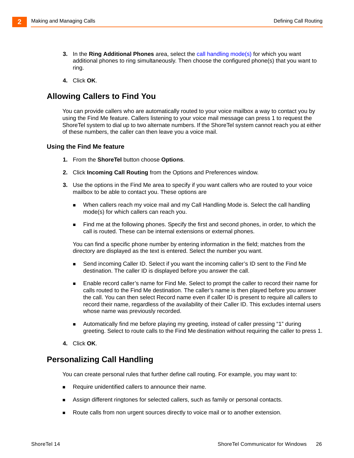- **3.** In the **Ring Additional Phones** [area, select the](#page-24-1) call handling mode(s) for which you want additional phones to ring simultaneously. Then choose the configured phone(s) that you want to ring.
- **4.** Click **OK**.

### <span id="page-25-0"></span>**Allowing Callers to Find You**

You can provide callers who are automatically routed to your voice mailbox a way to contact you by using the Find Me feature. Callers listening to your voice mail message can press 1 to request the ShoreTel system to dial up to two alternate numbers. If the ShoreTel system cannot reach you at either of these numbers, the caller can then leave you a voice mail.

#### **Using the Find Me feature**

- **1.** From the **ShoreTel** button choose **Options**.
- **2.** Click **Incoming Call Routing** from the Options and Preferences window.
- **3.** Use the options in the Find Me area to specify if you want callers who are routed to your voice mailbox to be able to contact you. These options are
	- When callers reach my voice mail and my Call Handling Mode is. Select the call handling mode(s) for which callers can reach you.
	- **Find me at the following phones. Specify the first and second phones, in order, to which the** call is routed. These can be internal extensions or external phones.

You can find a specific phone number by entering information in the field; matches from the directory are displayed as the text is entered. Select the number you want.

- Send incoming Caller ID. Select if you want the incoming caller's ID sent to the Find Me destination. The caller ID is displayed before you answer the call.
- **Enable record caller's name for Find Me. Select to prompt the caller to record their name for** calls routed to the Find Me destination. The caller's name is then played before you answer the call. You can then select Record name even if caller ID is present to require all callers to record their name, regardless of the availability of their Caller ID. This excludes internal users whose name was previously recorded.
- Automatically find me before playing my greeting, instead of caller pressing "1" during greeting. Select to route calls to the Find Me destination without requiring the caller to press 1.
- **4.** Click **OK**.

### <span id="page-25-1"></span>**Personalizing Call Handling**

You can create personal rules that further define call routing. For example, you may want to:

- Require unidentified callers to announce their name.
- Assign different ringtones for selected callers, such as family or personal contacts.
- **Route calls from non urgent sources directly to voice mail or to another extension.**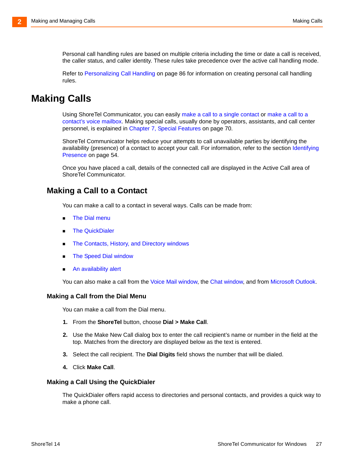Personal call handling rules are based on multiple criteria including the time or date a call is received, the caller status, and caller identity. These rules take precedence over the active call handling mode.

Refer to [Personalizing Call Handling on page 86](#page-85-1) for information on creating personal call handling rules.

## <span id="page-26-0"></span>**Making Calls**

Using ShoreTel Communicator, you can easily [make a call to a single contact](#page-26-1) o[r make a call to a](#page-27-2)  [contact's voice mailbox](#page-27-2). Making special calls, usually done by operators, assistants, and call center personnel, is explained in [Chapter 7, Special Features on page 70](#page-69-1).

ShoreTel Communicator helps reduce your attempts to call unavailable parties by identifying the availability (presence) of a contact to accept your call. For information, refer to the section Identifying [Presence on page 54.](#page-53-4)

Once you have placed a call, details of the connected call are displayed in the Active Call area of ShoreTel Communicator.

#### <span id="page-26-1"></span>**Making a Call to a Contact**

You can make a call to a contact in several ways. Calls can be made from:

- **The Dial menu**
- **[The QuickDialer](#page-26-2)**
- **[The Contacts, History, and Directory windows](#page-27-3)**
- [The Speed Dial window](#page-27-4)
- An availability alert

You can also make a call from the [Voice Mail window,](#page-36-2) the [Chat window,](#page-48-2) and from [Microsoft Outlook.](#page-67-2)

#### **Making a Call from the Dial Menu**

You can make a call from the Dial menu.

- **1.** From the **ShoreTel** button, choose **Dial > Make Call**.
- **2.** Use the Make New Call dialog box to enter the call recipient's name or number in the field at the top. Matches from the directory are displayed below as the text is entered.
- **3.** Select the call recipient. The **Dial Digits** field shows the number that will be dialed.
- **4.** Click **Make Call**.

#### <span id="page-26-2"></span>**Making a Call Using the QuickDialer**

The QuickDialer offers rapid access to directories and personal contacts, and provides a quick way to make a phone call.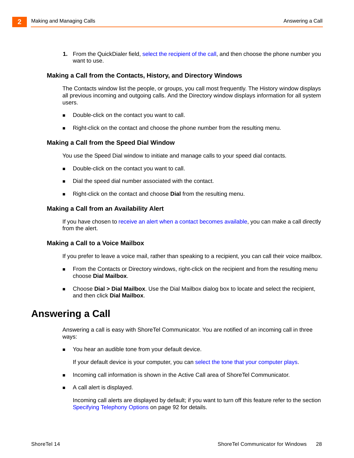**1.** From the QuickDialer field, select the recipient of the call, and then choose the phone number you want to use.

#### <span id="page-27-3"></span>**Making a Call from the Contacts, History, and Directory Windows**

The Contacts window list the people, or groups, you call most frequently. The History window displays all previous incoming and outgoing calls. And the Directory window displays information for all system users.

- Double-click on the contact you want to call.
- <span id="page-27-1"></span>**Right-click on the contact and choose the phone number from the resulting menu.**

#### <span id="page-27-4"></span>**Making a Call from the Speed Dial Window**

You use the Speed Dial window to initiate and manage calls to your speed dial contacts.

- Double-click on the contact you want to call.
- Dial the speed dial number associated with the contact.
- **Right-click on the contact and choose Dial from the resulting menu.**

#### **Making a Call from an Availability Alert**

If you have chosen to [receive an alert when a contact becomes available,](#page-55-1) you can make a call directly from the alert.

#### <span id="page-27-2"></span>**Making a Call to a Voice Mailbox**

If you prefer to leave a voice mail, rather than speaking to a recipient, you can call their voice mailbox.

- **From the Contacts or Directory windows, right-click on the recipient and from the resulting menu** choose **Dial Mailbox**.
- Choose **Dial > Dial Mailbox**. Use the Dial Mailbox dialog box to locate and select the recipient, and then click **Dial Mailbox**.

## <span id="page-27-0"></span>**Answering a Call**

Answering a call is easy with ShoreTel Communicator. You are notified of an incoming call in three ways:

You hear an audible tone from your default device.

If your default device is your computer, you can [select the tone that your computer plays.](#page-95-2)

- **Incoming call information is shown in the Active Call area of ShoreTel Communicator.**
- A call alert is displayed.

Incoming call alerts are displayed by default; if you want to turn off this feature refer to the section [Specifying Telephony Options on page 92](#page-91-1) for details.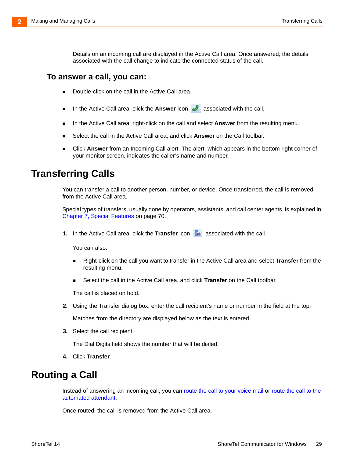Details on an incoming call are displayed in the Active Call area. Once answered, the details associated with the call change to indicate the connected status of the call.

#### **To answer a call, you can:**

- Double-click on the call in the Active Call area.
- In the Active Call area, click the **Answer** icon **and associated with the call,**
- In the Active Call area, right-click on the call and select **Answer** from the resulting menu.
- Select the call in the Active Call area, and click **Answer** on the Call toolbar.
- Click **Answer** from an Incoming Call alert. The alert, which appears in the bottom right corner of your monitor screen, indicates the caller's name and number.

## <span id="page-28-0"></span>**Transferring Calls**

You can transfer a call to another person, number, or device. Once transferred, the call is removed from the Active Call area.

Special types of transfers, usually done by operators, assistants, and call center agents, is explained in [Chapter 7, Special Features on page 70.](#page-69-1)

**1.** In the Active Call area, click the **Transfer** icon **a** associated with the call.

You can also:

- Right-click on the call you want to transfer in the Active Call area and select **Transfer** from the resulting menu.
- Select the call in the Active Call area, and click **Transfer** on the Call toolbar.

The call is placed on hold.

**2.** Using the Transfer dialog box, enter the call recipient's name or number in the field at the top.

Matches from the directory are displayed below as the text is entered.

**3.** Select the call recipient.

The Dial Digits field shows the number that will be dialed.

**4.** Click **Transfer**.

## <span id="page-28-1"></span>**Routing a Call**

Instead of answering an incoming call, you can [route the call to your voice mail](#page-29-1) [or](#page-29-2) route the call to the automated attendant.

Once routed, the call is removed from the Active Call area.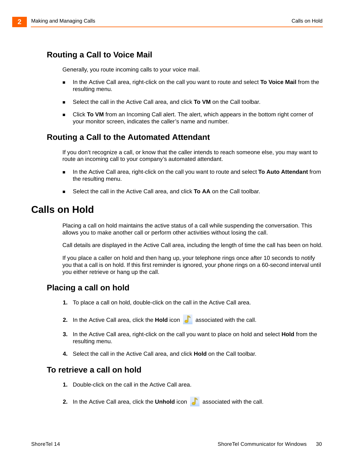### <span id="page-29-1"></span>**Routing a Call to Voice Mail**

Generally, you route incoming calls to your voice mail.

- **IDED** In the Active Call area, right-click on the call you want to route and select **To Voice Mail** from the resulting menu.
- Select the call in the Active Call area, and click **To VM** on the Call toolbar.
- **EXECUTE:** Click **To VM** from an Incoming Call alert. The alert, which appears in the bottom right corner of your monitor screen, indicates the caller's name and number.

### <span id="page-29-2"></span>**Routing a Call to the Automated Attendant**

If you don't recognize a call, or know that the caller intends to reach someone else, you may want to route an incoming call to your company's automated attendant.

- **IDED** In the Active Call area, right-click on the call you want to route and select **To Auto Attendant** from the resulting menu.
- Select the call in the Active Call area, and click **To AA** on the Call toolbar.

## <span id="page-29-0"></span>**Calls on Hold**

Placing a call on hold maintains the active status of a call while suspending the conversation. This allows you to make another call or perform other activities without losing the call.

Call details are displayed in the Active Call area, including the length of time the call has been on hold.

If you place a caller on hold and then hang up, your telephone rings once after 10 seconds to notify you that a call is on hold. If this first reminder is ignored, your phone rings on a 60-second interval until you either retrieve or hang up the call.

### **Placing a call on hold**

- **1.** To place a call on hold, double-click on the call in the Active Call area.
- **2.** In the Active Call area, click the **Hold** icon **and associated with the call.**
- **3.** In the Active Call area, right-click on the call you want to place on hold and select **Hold** from the resulting menu.
- **4.** Select the call in the Active Call area, and click **Hold** on the Call toolbar.

#### **To retrieve a call on hold**

- **1.** Double-click on the call in the Active Call area.
- **2.** In the Active Call area, click the **Unhold** icon **a** associated with the call.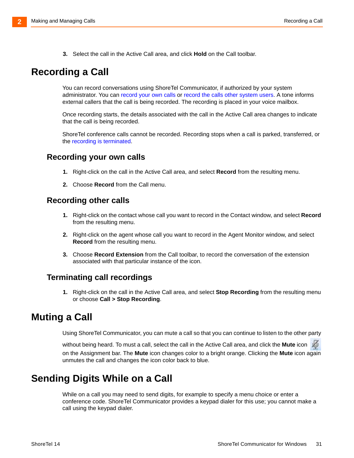**3.** Select the call in the Active Call area, and click **Hold** on the Call toolbar.

## <span id="page-30-0"></span>**Recording a Call**

You can record conversations using ShoreTel Communicator, if authorized by your system administrator. You can [record your own calls](#page-30-3) or [record the calls other system users](#page-30-4). A tone informs external callers that the call is being recorded. The recording is placed in your voice mailbox.

Once recording starts, the details associated with the call in the Active Call area changes to indicate that the call is being recorded.

ShoreTel conference calls cannot be recorded. Recording stops when a call is parked, transferred, or the recording is terminated.

#### <span id="page-30-3"></span>**Recording your own calls**

- **1.** Right-click on the call in the Active Call area, and select **Record** from the resulting menu.
- **2.** Choose **Record** from the Call menu.

#### <span id="page-30-4"></span>**Recording other calls**

- **1.** Right-click on the contact whose call you want to record in the Contact window, and select **Record** from the resulting menu.
- **2.** Right-click on the agent whose call you want to record in the Agent Monitor window, and select **Record** from the resulting menu.
- **3.** Choose **Record Extension** from the Call toolbar, to record the conversation of the extension associated with that particular instance of the icon.

#### **Terminating call recordings**

**1.** Right-click on the call in the Active Call area, and select **Stop Recording** from the resulting menu or choose **Call > Stop Recording**.

## <span id="page-30-1"></span>**Muting a Call**

Using ShoreTel Communicator, you can mute a call so that you can continue to listen to the other party

without being heard. To must a call, select the call in the Active Call area, and click the **Mute** icon on the Assignment bar. The **Mute** icon changes color to a bright orange. Clicking the **Mute** icon again unmutes the call and changes the icon color back to blue.

## <span id="page-30-2"></span>**Sending Digits While on a Call**

While on a call you may need to send digits, for example to specify a menu choice or enter a conference code. ShoreTel Communicator provides a keypad dialer for this use; you cannot make a call using the keypad dialer.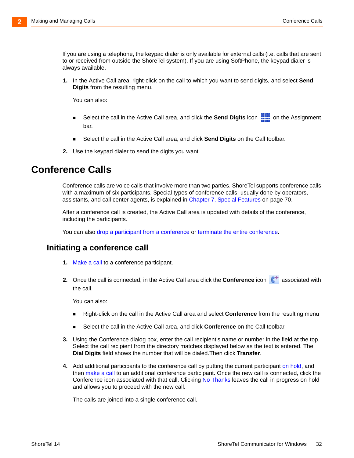If you are using a telephone, the keypad dialer is only available for external calls (i.e. calls that are sent to or received from outside the ShoreTel system). If you are using SoftPhone, the keypad dialer is always available.

**1.** In the Active Call area, right-click on the call to which you want to send digits, and select **Send Digits** from the resulting menu.

You can also:

- Select the call in the Active Call area, and click the **Send Digits** icon **on the Assignment** bar.
- Select the call in the Active Call area, and click **Send Digits** on the Call toolbar.
- **2.** Use the keypad dialer to send the digits you want.

## <span id="page-31-0"></span>**Conference Calls**

Conference calls are voice calls that involve more than two parties. ShoreTel supports conference calls with a maximum of six participants. Special types of conference calls, usually done by operators, assistants, and call center agents, is explained in [Chapter 7, Special Features on page 70.](#page-69-1)

After a conference call is created, the Active Call area is updated with details of the conference, including the participants.

You can also [drop a participant from a conference](#page-32-2) or [terminate the entire conference.](#page-32-3)

#### **Initiating a conference call**

- **1.** Make a call to a conference participant.
- **2.** Once the call is connected, in the Active Call area click the **Conference** icon **6** associated with the call.

You can also:

- Right-click on the call in the Active Call area and select **Conference** from the resulting menu
- Select the call in the Active Call area, and click **Conference** on the Call toolbar.
- **3.** Using the Conference dialog box, enter the call recipient's name or number in the field at the top. Select the call recipient from the directory matches displayed below as the text is entered. The **Dial Digits** field shows the number that will be dialed.Then click **Transfer**.
- **4.** [Add additional participants to the conference call by putting the current participant o](#page-29-0)n hold, and then [make a call](#page-26-0) to an additional conference participant. Once the new call is connected, click the Conference icon associated with that call. Clicking No Thanks leaves the call in progress on hold and allows you to proceed with the new call.

The calls are joined into a single conference call.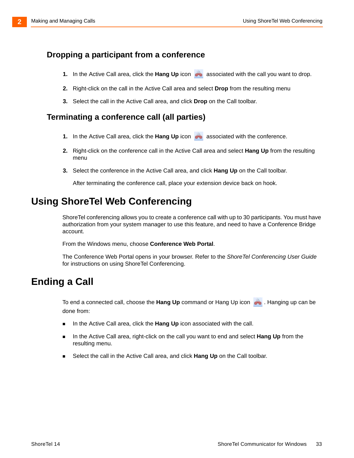#### <span id="page-32-2"></span>**Dropping a participant from a conference**

- **1.** In the Active Call area, click the **Hang Up** icon **are associated with the call you want to drop.**
- **2.** Right-click on the call in the Active Call area and select **Drop** from the resulting menu
- **3.** Select the call in the Active Call area, and click **Drop** on the Call toolbar.

#### <span id="page-32-3"></span>**Terminating a conference call (all parties)**

- **1.** In the Active Call area, click the Hang Up icon **and associated with the conference.**
- **2.** Right-click on the conference call in the Active Call area and select **Hang Up** from the resulting menu
- **3.** Select the conference in the Active Call area, and click **Hang Up** on the Call toolbar.

After terminating the conference call, place your extension device back on hook.

## <span id="page-32-0"></span>**Using ShoreTel Web Conferencing**

ShoreTel conferencing allows you to create a conference call with up to 30 participants. You must have authorization from your system manager to use this feature, and need to have a Conference Bridge account.

From the Windows menu, choose **Conference Web Portal**.

The Conference Web Portal opens in your browser. Refer to the *ShoreTel Conferencing User Guide*  for instructions on using ShoreTel Conferencing.

## <span id="page-32-1"></span>**Ending a Call**

To end a connected call, choose the **Hang Up** command or Hang Up icon . Hanging up can be done from:

- **IFM** In the Active Call area, click the Hang Up icon associated with the call.
- In the Active Call area, right-click on the call you want to end and select **Hang Up** from the resulting menu.
- Select the call in the Active Call area, and click **Hang Up** on the Call toolbar.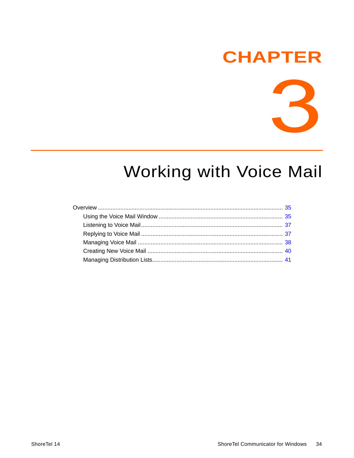# **CHAPTER**



# <span id="page-33-1"></span>**Working with Voice Mail**

<span id="page-33-0"></span>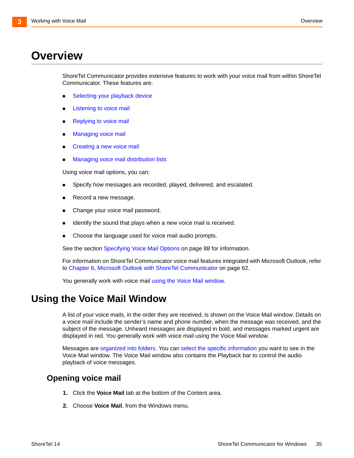# <span id="page-34-0"></span>**Overview**

ShoreTel Communicator provides extensive features to work with your voice mail from within ShoreTel Communicator. These features are:

- **Selecting your playback device**
- **[Listening to voice mail](#page-36-0)**
- **[Replying to voice mail](#page-36-1)**
- [Managing voice mail](#page-37-0)
- [Creating a new voice mail](#page-39-0)
- [Managing voice mail distribution lists](#page-40-0)

Using voice mail options, you can:

- Specify how messages are recorded, played, delivered, and escalated.
- Record a new message.
- Change your voice mail password.
- **If identify the sound that plays when a new voice mail is received.**
- **Choose the language used for voice mail audio prompts.**

See the section [Specifying Voice Mail Options on page 88](#page-87-1) for information.

For information on ShoreTel Communicator voice mail features integrated with Microsoft Outlook, refer to [Chapter 6, Microsoft Outlook with ShoreTel Communicator on page 62](#page-61-1).

You generally work with voice mail [using the Voice Mail window.](#page-34-1)

## <span id="page-34-1"></span>**Using the Voice Mail Window**

A list of your voice mails, in the order they are received, is shown on the Voice Mail window. Details on a voice mail include the sender's name and phone number, when the message was received, and the subject of the message. Unheard messages are displayed in bold, and messages marked urgent are displayed in red. You generally work with voice mail using the Voice Mail window.

Messages are [organized into folders](#page-35-0). You can select the specific information you want to see in the Voice Mail window. The Voice Mail window also contains the Playback bar to control the audio playback of voice messages.

### **Opening voice mail**

- **1.** Click the **Voice Mail** tab at the bottom of the Content area.
- **2.** Choose **Voice Mail**, from the Windows menu.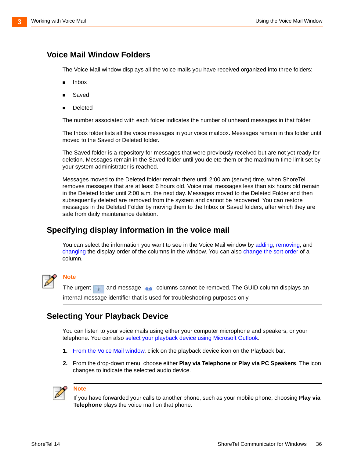### <span id="page-35-0"></span>**Voice Mail Window Folders**

The Voice Mail window displays all the voice mails you have received organized into three folders:

- Inbox
- Saved
- Deleted

The number associated with each folder indicates the number of unheard messages in that folder.

The Inbox folder lists all the voice messages in your voice mailbox. Messages remain in this folder until moved to the Saved or Deleted folder.

The Saved folder is a repository for messages that were previously received but are not yet ready for deletion. Messages remain in the Saved folder until you delete them or the maximum time limit set by your system administrator is reached.

Messages moved to the Deleted folder remain there until 2:00 am (server) time, when ShoreTel removes messages that are at least 6 hours old. Voice mail messages less than six hours old remain in the Deleted folder until 2:00 a.m. the next day. Messages moved to the Deleted Folder and then subsequently deleted are removed from the system and cannot be recovered. You can restore messages in the Deleted Folder by moving them to the Inbox or Saved folders, after which they are safe from daily maintenance deletion.

### **Specifying display information in the voice mail**

You can select the information you want to see in the Voice Mail window by adding, removing, and changing the display order of the columns in the window. You can also change the sort order of a column.



#### **Note**

The urgent **and message columns cannot be removed.** The GUID column displays an internal message identifier that is used for troubleshooting purposes only.

## **Selecting Your Playback Device**

You can listen to your voice mails using either your computer microphone and speakers, or your telephone. You can als[o select your playback device using Microsoft Outlook](#page-64-0).

- **1.** From the Voice Mail window, click on the playback device icon on the Playback bar.
- **2.** From the drop-down menu, choose either **Play via Telephone** or **Play via PC Speakers**. The icon changes to indicate the selected audio device.



**Note**

If you have forwarded your calls to another phone, such as your mobile phone, choosing **Play via Telephone** plays the voice mail on that phone.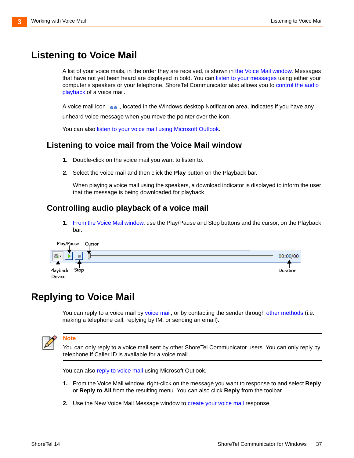## <span id="page-36-2"></span>**Listening to Voice Mail**

<span id="page-36-3"></span>A list of your voice mails, in the order they are received, is shown in [the Voice Mail window.](#page-34-0) Messages that have not yet been heard are displayed in bold. You can [listen to your messages](#page-36-0) [using either your](#page-36-1)  [computer's speakers or your telephone. ShoreTel Communicator also allows you to c](#page-36-1)ontrol the audio playback of a voice mail.

A voice mail icon , located in the Windows desktop Notification area, indicates if you have any unheard voice message when you move the pointer over the icon.

[You can also l](#page-64-0)isten to your voice mail using Microsoft Outlook.

#### <span id="page-36-0"></span>**Listening to voice mail from the Voice Mail window**

- **1.** Double-click on the voice mail you want to listen to.
- **2.** Select the voice mail and then click the **Play** button on the Playback bar.

When playing a voice mail using the speakers, a download indicator is displayed to inform the user that the message is being downloaded for playback.

#### <span id="page-36-1"></span>**Controlling audio playback of a voice mail**

**1.** From the Voice Mail window, use the Play/Pause and Stop buttons and the cursor, on the Playback bar.



## **Replying to Voice Mail**

You can reply to a voice mail by voice mail, or by contacting the sender through [other methods](#page-37-0) (i.e. making a telephone call, replying by IM, or sending an email).



#### **Note**

You can only reply to a voice mail sent by other ShoreTel Communicator users. You can only reply by telephone if Caller ID is available for a voice mail.

You can also [reply to voice mail](#page-64-1) using Microsoft Outlook.

- **1.** [From the Voice Mail window, right-click on the message you want to response to and select](#page-34-0) **Reply** or **Reply to All** from the resulting menu. You can also click **Reply** from the toolbar.
- **2.** [Use the New Voice Mail Message window to c](#page-39-0)reate your voice mail response.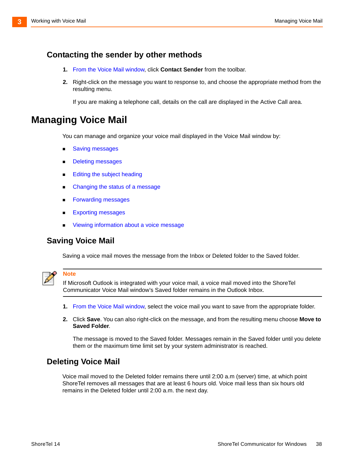#### <span id="page-37-0"></span>**Contacting the sender by other methods**

- **1.** From the Voice Mail window, click **Contact Sender** from the toolbar.
- **2.** Right-click on the message you want to response to, and choose the appropriate method from the resulting menu.

If you are making a telephone call, details on the call are displayed in the Active Call area.

## **Managing Voice Mail**

You can manage and organize your voice mail displayed in the Voice Mail window by:

- **Saving messages**
- **[Deleting messages](#page-37-1)**
- **[Editing the subject heading](#page-38-0)**
- **[Changing the status of a message](#page-38-1)**
- **[Forwarding messages](#page-38-2)**
- **[Exporting messages](#page-39-1)**
- **[Viewing information about a voice message](#page-39-2)**

#### **Saving Voice Mail**

Saving a voice mail moves the message from the Inbox or Deleted folder to the Saved folder.



#### **Note**

If Microsoft Outlook is integrated with your voice mail, a voice mail moved into the ShoreTel Communicator Voice Mail window's Saved folder remains in the Outlook Inbox.

- **1.** From the Voice Mail window, select the voice mail you want to save from the appropriate folder.
- **2.** Click **Save**. You can also right-click on the message, and from the resulting menu choose **Move to Saved Folder**.

The message is moved to the Saved folder. Messages remain in the Saved folder until you delete them or the maximum time limit set by your system administrator is reached.

#### <span id="page-37-1"></span>**Deleting Voice Mail**

Voice mail moved to the Deleted folder remains there until 2:00 a.m (server) time, at which point ShoreTel removes all messages that are at least 6 hours old. Voice mail less than six hours old remains in the Deleted folder until 2:00 a.m. the next day.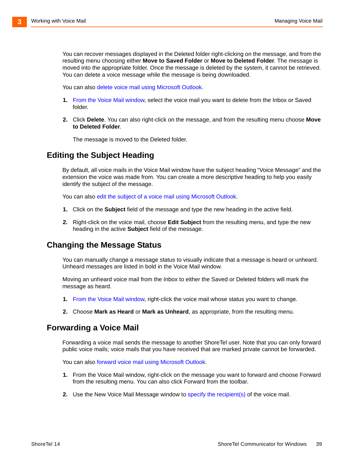You can recover messages displayed in the Deleted folder right-clicking on the message, and from the resulting menu choosing either **Move to Saved Folder** or **Move to Deleted Folder**. The message is moved into the appropriate folder. Once the message is deleted by the system, it cannot be retrieved. You can delete a voice message while the message is being downloaded.

You can also [delete voice mail using Microsoft Outlook](#page-66-0).

- **1.** From the Voice Mail window, select the voice mail you want to delete from the Inbox or Saved folder.
- **2.** Click **Delete**. You can also right-click on the message, and from the resulting menu choose **Move to Deleted Folder**.

The message is moved to the Deleted folder.

#### <span id="page-38-0"></span>**Editing the Subject Heading**

By default, all voice mails in the Voice Mail window have the subject heading "Voice Message" and the extension the voice was made from. You can create a more descriptive heading to help you easily identify the subject of the message.

You can also [edit the subject of a voice mail using Microsoft Outlook.](#page-66-1)

- **1.** Click on the **Subject** field of the message and type the new heading in the active field.
- **2.** Right-click on the voice mail, choose **Edit Subject** from the resulting menu, and type the new heading in the active **Subject** field of the message.

#### <span id="page-38-1"></span>**Changing the Message Status**

You can manually change a message status to visually indicate that a message is heard or unheard. Unheard messages are listed in bold in the Voice Mail window.

Moving an unheard voice mail from the Inbox to either the Saved or Deleted folders will mark the message as heard.

- **1.** From the Voice Mail window, right-click the voice mail whose status you want to change.
- **2.** Choose **Mark as Heard** or **Mark as Unheard**, as appropriate, from the resulting menu.

#### <span id="page-38-2"></span>**Forwarding a Voice Mail**

Forwarding a voice mail sends the message to another ShoreTel user. Note that you can only forward public voice mails; voice mails that you have received that are marked private cannot be forwarded.

You can also [forward voice mail using Microsoft Outlook](#page-65-0).

- **1.** [From the Voice Mail window, right-click on the message you want to forward and choose Forward](#page-34-0)  from the resulting menu. You can also click Forward from the toolbar.
- **2.** [Use the New Voice Mail Message window to s](#page-39-0)pecify the recipient(s) of the voice mail.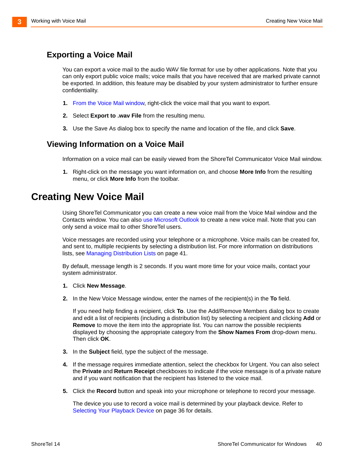#### <span id="page-39-1"></span>**Exporting a Voice Mail**

You can export a voice mail to the audio WAV file format for use by other applications. Note that you can only export public voice mails; voice mails that you have received that are marked private cannot be exported. In addition, this feature may be disabled by your system administrator to further ensure confidentiality.

- **1.** From the Voice Mail window, right-click the voice mail that you want to export.
- **2.** Select **Export to .wav File** from the resulting menu.
- **3.** Use the Save As dialog box to specify the name and location of the file, and click **Save**.

#### <span id="page-39-2"></span>**Viewing Information on a Voice Mail**

Information on a voice mail can be easily viewed from the ShoreTel Communicator Voice Mail window.

**1.** Right-click on the message you want information on, and choose **More Info** from the resulting menu, or click **More Info** from the toolbar.

### <span id="page-39-0"></span>**Creating New Voice Mail**

Using ShoreTel Communicator you can create a new voice mail from the Voice Mail window and the Contacts window. You can also [use Microsoft Outlook](#page-65-1) to create a new voice mail. Note that you can only send a voice mail to other ShoreTel users.

Voice messages are recorded using your telephone or a microphone. Voice mails can be created for, and sent to, multiple recipients by selecting a distribution list. For more information on distributions lists, see [Managing Distribution Lists on page 41.](#page-40-0)

By default, message length is 2 seconds. If you want more time for your voice mails, contact your system administrator.

- **1.** Click **New Message**.
- **2.** In the New Voice Message window, enter the names of the recipient(s) in the **To** field.

If you need help finding a recipient, click **To**. Use the Add/Remove Members dialog box to create and edit a list of recipients (including a distribution list) by selecting a recipient and clicking **Add** or **Remove** to move the item into the appropriate list. You can narrow the possible recipients displayed by choosing the appropriate category from the **Show Names From** drop-down menu. Then click **OK**.

- **3.** In the **Subject** field, type the subject of the message.
- **4.** If the message requires immediate attention, select the checkbox for Urgent. You can also select the **Private** and **Return Receipt** checkboxes to indicate if the voice message is of a private nature and if you want notification that the recipient has listened to the voice mail.
- **5.** Click the **Record** button and speak into your microphone or telephone to record your message.

The device you use to record a voice mail is determined by your playback device. Refer to [Selecting Your Playback Device on page 36](#page-35-0) for details.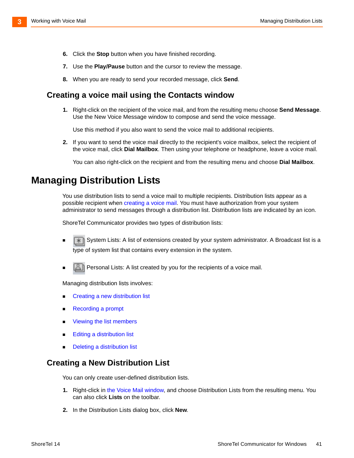- **6.** Click the **Stop** button when you have finished recording.
- **7.** Use the **Play/Pause** button and the cursor to review the message.
- **8.** When you are ready to send your recorded message, click **Send**.

#### **Creating a voice mail using the Contacts window**

**1.** Right-click on the recipient of the voice mail, and from the resulting menu choose **Send Message**[.](#page-39-0)  [Use the New Voice Message window to compose and send the voice message.](#page-39-0)

Use this method if you also want to send the voice mail to additional recipients.

**2.** If you want to send the voice mail directly to the recipient's voice mailbox, select the recipient of the voice mail, click **Dial Mailbox**. Then using your telephone or headphone, leave a voice mail.

You can also right-click on the recipient and from the resulting menu and choose **Dial Mailbox**.

### <span id="page-40-0"></span>**Managing Distribution Lists**

You use distribution lists to send a voice mail to multiple recipients. Distribution lists appear as a possible recipient when [creating a voice mail.](#page-39-0) You must have authorization from your system administrator to send messages through a distribution list. Distribution lists are indicated by an icon.

ShoreTel Communicator provides two types of distribution lists:

- System Lists: A list of extensions created by your system administrator. A Broadcast list is a type of system list that contains every extension in the system.
- Personal Lists: A list created by you for the recipients of a voice mail.

Managing distribution lists involves:

- Creating a new distribution list
- **[Recording a prompt](#page-41-0)**
- **Numbers** [Viewing the list members](#page-41-1)
- **[Editing a distribution list](#page-41-2)**
- **Deleting a distribution list**

#### **Creating a New Distribution List**

You can only create user-defined distribution lists.

- **1.** Right-click in [the Voice Mail window,](#page-34-0) and choose Distribution Lists from the resulting menu. You can also click **Lists** on the toolbar.
- **2.** In the Distribution Lists dialog box, click **New**.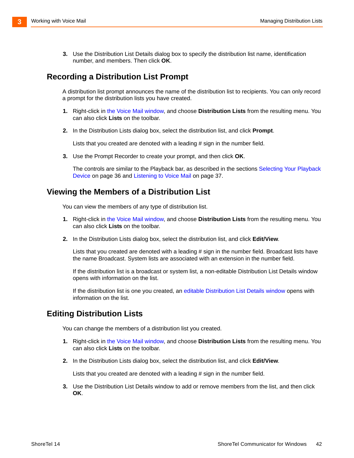**3.** Use the Distribution List Details dialog box to specify the distribution list name, identification number, and members. Then click **OK**.

#### <span id="page-41-0"></span>**Recording a Distribution List Prompt**

A distribution list prompt announces the name of the distribution list to recipients. You can only record a prompt for the distribution lists you have created.

- **1.** Right-click in [the Voice Mail window,](#page-34-0) and choose **Distribution Lists** from the resulting menu. You can also click **Lists** on the toolbar.
- **2.** In the Distribution Lists dialog box, select the distribution list, and click **Prompt**.

Lists that you created are denoted with a leading # sign in the number field.

**3.** Use the Prompt Recorder to create your prompt, and then click **OK**.

The controls are similar to the Playback bar, as described in the sections [Selecting Your Playback](#page-35-0)  [Device on page 36](#page-35-0) and [Listening to Voice Mail on page 37.](#page-36-2)

#### <span id="page-41-1"></span>**Viewing the Members of a Distribution List**

You can view the members of any type of distribution list.

- **1.** Right-click in [the Voice Mail window,](#page-34-0) and choose **Distribution Lists** from the resulting menu. You can also click **Lists** on the toolbar.
- **2.** In the Distribution Lists dialog box, select the distribution list, and click **Edit/View**.

Lists that you created are denoted with a leading # sign in the number field. Broadcast lists have the name Broadcast. System lists are associated with an extension in the number field.

If the distribution list is a broadcast or system list, a non-editable Distribution List Details window opens with information on the list.

If the distribution list is one you created, a[n editable Distribution List Details window](#page-41-2) opens with information on the list.

#### <span id="page-41-2"></span>**Editing Distribution Lists**

You can change the members of a distribution list you created.

- **1.** Right-click in [the Voice Mail window,](#page-34-0) and choose **Distribution Lists** from the resulting menu. You can also click **Lists** on the toolbar.
- **2.** In the Distribution Lists dialog box, select the distribution list, and click **Edit/View**.

Lists that you created are denoted with a leading # sign in the number field.

**3.** Use the Distribution List Details window to add or remove members from the list, and then click **OK**.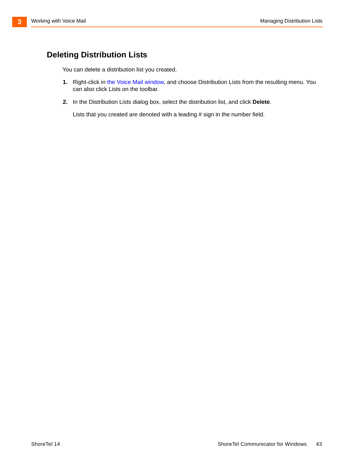#### <span id="page-42-0"></span>**Deleting Distribution Lists**

You can delete a distribution list you created.

- **1.** Right-click in [the Voice Mail window,](#page-34-0) and choose Distribution Lists from the resulting menu. You can also click Lists on the toolbar.
- **2.** In the Distribution Lists dialog box, select the distribution list, and click **Delete**.

Lists that you created are denoted with a leading # sign in the number field.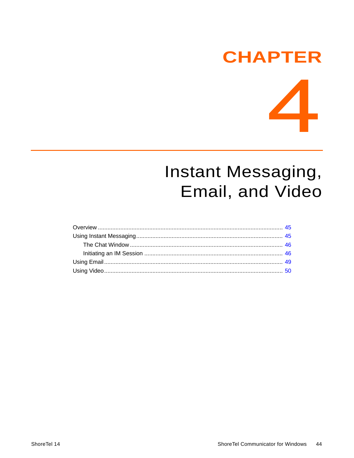## **CHAPTER**

 $\sqrt{2}$ 

L

# Instant Messaging, Email, and Video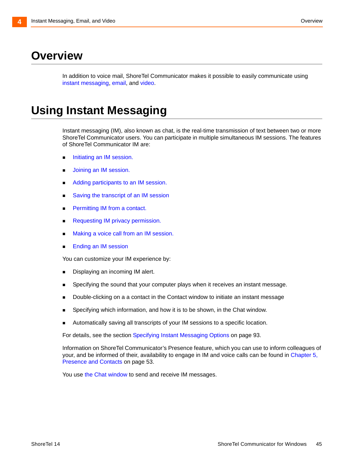## <span id="page-44-0"></span>**Overview**

[In addition to voice mail, ShoreTel Communicator makes it possible to easily communicate using](#page-44-1)  instant messagin[g, e](#page-48-0)mail[, and v](#page-49-0)ideo.

## <span id="page-44-1"></span>**Using Instant Messaging**

Instant messaging (IM), also known as chat, is the real-time transmission of text between two or more ShoreTel Communicator users. You can participate in multiple simultaneous IM sessions. The features of ShoreTel Communicator IM are:

- **Initiating an IM session.**
- **[Joining an IM session.](#page-46-2)**
- [Adding participants to an IM session.](#page-46-0)
- [Saving the transcript of an IM session](#page-46-1)
- **[Permitting IM from a contact.](#page-47-0)**
- [Requesting IM privacy permission.](#page-48-3)
- [Making a voice call from an IM session.](#page-48-2)
- **[Ending an IM session](#page-48-1)**

You can customize your IM experience by:

- Displaying an incoming IM alert.
- **Specifying the sound that your computer plays when it receives an instant message.**
- Double-clicking on a a contact in the Contact window to initiate an instant message
- **Specifying which information, and how it is to be shown, in the Chat window.**
- **Automatically saving all transcripts of your IM sessions to a specific location.**

For details, see the section [Specifying Instant Messaging Options on page 93](#page-92-0).

Information on ShoreTel Communicator's Presence feature, which you can use to inform colleagues of your, and be informed of their, availability to engage in IM and voice calls can be found in Chapter 5, [Presence and Contacts on page 53](#page-52-0).

You use the Chat window to send and receive IM messages.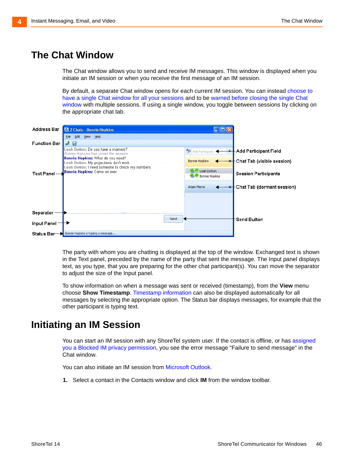## <span id="page-45-0"></span>**The Chat Window**

<span id="page-45-2"></span>The Chat window allows you to send and receive IM messages. This window is displayed when you initiate an IM session or when you receive the first message of an IM session.

By default, a separate Chat window opens for each current IM session. You can instead [choose to](#page-92-1)  [have a single Chat window for all your sessions](#page-92-1) and to b[e warned before closing the single Chat](#page-92-1)  [window](#page-92-1) with multiple sessions. If using a single window, you toggle between sessions by clicking on the appropriate chat tab.



The party with whom you are chatting is displayed at the top of the window. Exchanged text is shown in the Text panel, preceded by the name of the party that sent the message. The Input panel displays text, as you type, that you are preparing for the other chat participant(s). You can move the separator to adjust the size of the Input panel.

To show information on when a message was sent or received (timestamp), from the **View** menu choose **Show Timestamp**[.](#page-92-1) Timestamp information can also be displayed automatically for all messages by selecting the appropriate option. The Status bar displays messages, for example that the other participant is typing text.

## <span id="page-45-1"></span>**Initiating an IM Session**

You can start an IM session with any ShoreTel system user. If the contact is offline, or has [assigned](#page-47-0)  [you a Blocked IM privacy permission](#page-47-0), you see the error message "Failure to send message" in the Chat window.

You can also initiate an IM session from [Microsoft Outlook](#page-67-0).

**1.** Select a contact in the Contacts window and click **IM** from the window toolbar.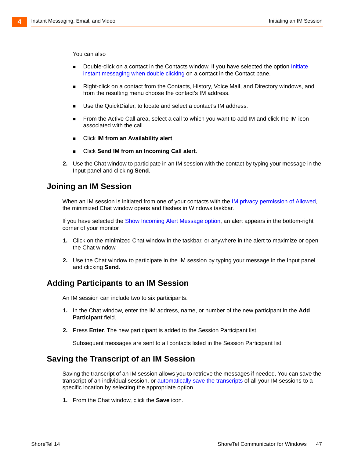You can also

- **[Double-click on a contact in the Contacts window, if you have selected the option I](#page-92-1)nitiate** instant messaging when double clicking on a contact in the Contact pane.
- Right-click on a contact from the Contacts, History, Voice Mail, and Directory windows, and from the resulting menu choose the contact's IM address.
- Use the QuickDialer, to locate and select a contact's IM address.
- From the Active Call area, select a call to which you want to add IM and click the IM icon associated with the call.
- Click **IM from an Availability alert**.
- Click **Send IM from an Incoming Call alert**.
- **2.** Use the Chat window to participate in an IM session with the contact by typing your message in the Input panel and clicking **Send**.

#### <span id="page-46-2"></span>**Joining an IM Session**

When an IM session is initiated from one of your contacts with the [IM privacy permission of Allowed,](#page-47-0) the minimized Chat window opens and flashes in Windows taskbar.

If you have selected the [Show Incoming Alert Message option](#page-92-1), an alert appears in the bottom-right corner of your monitor

- **1.** Click on the minimized Chat window in the taskbar, or anywhere in the alert to maximize or open the Chat window.
- **2.** Use the Chat window to participate in the IM session by typing your message in the Input panel and clicking **Send**.

#### <span id="page-46-0"></span>**Adding Participants to an IM Session**

An IM session can include two to six participants.

- **1.** In the Chat window, enter the IM address, name, or number of the new participant in the **Add Participant** field.
- **2.** Press **Enter**. The new participant is added to the Session Participant list.

Subsequent messages are sent to all contacts listed in the Session Participant list.

#### <span id="page-46-1"></span>**Saving the Transcript of an IM Session**

Saving the transcript of an IM session allows you to retrieve the messages if needed. You can save the transcript of an individual session, or [automatically save the transcripts](#page-92-1) of all your IM sessions to a specific location by selecting the appropriate option.

**1.** From the Chat window, click the **Save** icon.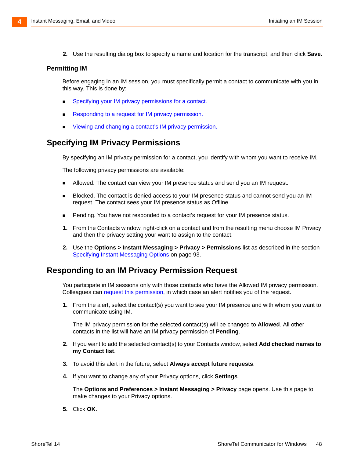**2.** Use the resulting dialog box to specify a name and location for the transcript, and then click **Save**.

#### <span id="page-47-0"></span>**Permitting IM**

Before engaging in an IM session, you must specifically permit a contact to communicate with you in this way. This is done by:

- **Specifying your IM privacy permissions for a contact.**
- **[Responding to a request for IM privacy permission.](#page-47-1)**
- **[Viewing and changing a contact's IM privacy permission.](#page-48-4)**

#### <span id="page-47-2"></span>**Specifying IM Privacy Permissions**

By specifying an IM privacy permission for a contact, you identify with whom you want to receive IM.

The following privacy permissions are available:

- Allowed. The contact can view your IM presence status and send you an IM request.
- Blocked. The contact is denied access to your IM presence status and cannot send you an IM request. The contact sees your IM presence status as Offline.
- **Pending. You have not responded to a contact's request for your IM presence status.**
- **1.** From the Contacts window, right-click on a contact and from the resulting menu choose IM Privacy and then the privacy setting your want to assign to the contact.
- **2.** Use the **Options > Instant Messaging > Privacy > Permissions** list as described in the section [Specifying Instant Messaging Options on page 93](#page-92-0).

#### <span id="page-47-1"></span>**Responding to an IM Privacy Permission Request**

You participate in IM sessions only with those contacts who have the Allowed IM privacy permission. Colleagues can [request this permission](#page-48-3), in which case an alert notifies you of the request.

**1.** From the alert, select the contact(s) you want to see your IM presence and with whom you want to communicate using IM.

The IM privacy permission for the selected contact(s) will be changed to **Allowed**. All other contacts in the list will have an IM privacy permission of **Pending**.

- **2.** If you want to add the selected contact(s) to your Contacts window, select **Add checked names to my Contact list**.
- **3.** To avoid this alert in the future, select **Always accept future requests**.
- **4.** If you want to change any of your Privacy options, click **Settings**.

[The](#page-92-1) **Options and Preferences > Instant Messaging > Privacy** page opens. Use this page to make changes to your Privacy options.

**5.** Click **OK**.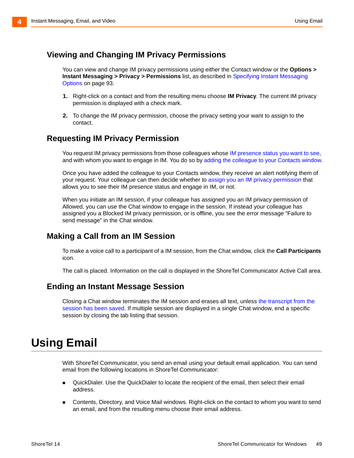#### <span id="page-48-4"></span>**Viewing and Changing IM Privacy Permissions**

You can view and change IM privacy permissions using either the Contact window or the **Options > Instant Messaging > Privacy > Permissions** list, as described in [Specifying Instant Messaging](#page-92-0)  [Options on page 93](#page-92-0).

- **1.** Right-click on a contact and from the resulting menu choose **IM Privacy**. The current IM privacy permission is displayed with a check mark.
- **2.** To change the IM privacy permission, choose the privacy setting your want to assign to the contact.

#### <span id="page-48-3"></span>**Requesting IM Privacy Permission**

[You request IM privacy permissions from those colleagues whose I](#page-55-0)M presence status you want to see, and with whom you want to engage in IM. You do so by [adding the colleague to your Contacts window.](#page-57-0)

Once you have added the colleague to your Contacts window, they receive an alert notifying them of your request. Your colleague can then decide whether to [assign you an IM privacy permission](#page-47-2) that allows you to see their IM presence status and engage in IM, or not.

When you initiate an IM session, if your colleague has assigned you an IM privacy permission of Allowed, you can use the Chat window to engage in the session. If instead your colleague has assigned you a Blocked IM privacy permission, or is offline, you see the error message "Failure to send message" in the Chat window.

#### <span id="page-48-2"></span>**Making a Call from an IM Session**

To make a voice call to a participant of a IM session, from the Chat window, click the **Call Participants** icon.

The call is placed. Information on the call is displayed in the ShoreTel Communicator Active Call area.

#### <span id="page-48-1"></span>**Ending an Instant Message Session**

Closing a Chat window terminates the IM session and erases all text, unless the transcript from the [session has been saved](#page-46-1). If multiple session are displayed in a single Chat window, end a specific session by closing the tab listing that session.

## <span id="page-48-0"></span>**Using Email**

With ShoreTel Communicator, you send an email using your default email application. You can send email from the following locations in ShoreTel Communicator:

- QuickDialer. Use the QuickDialer to locate the recipient of the email, then select their email address.
- Contents, Directory, and Voice Mail windows. Right-click on the contact to whom you want to send an email, and from the resulting menu choose their email address.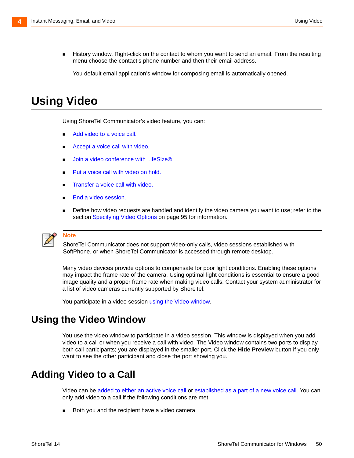History window. Right-click on the contact to whom you want to send an email. From the resulting menu choose the contact's phone number and then their email address.

You default email application's window for composing email is automatically opened.

## <span id="page-49-0"></span>**Using Video**

Using ShoreTel Communicator's video feature, you can:

- Add video to a voice call.
- [Accept a voice call with video.](#page-50-0)
- [Join a video conference with LifeSize®](#page-50-1)
- [Put a voice call with video on hold.](#page-51-0)
- [Transfer a voice call with video.](#page-51-1)
- [End a video session.](#page-51-2)
- **Define how video requests are handled and identify the video camera you want to use; refer to the** section [Specifying Video Options on page 95](#page-94-0) for information.

#### **Note**

ShoreTel Communicator does not support video-only calls, video sessions established with SoftPhone, or when ShoreTel Communicator is accessed through remote desktop.

Many video devices provide options to compensate for poor light conditions. Enabling these options may impact the frame rate of the camera. Using optimal light conditions is essential to ensure a good image quality and a proper frame rate when making video calls. Contact your system administrator for a list of video cameras currently supported by ShoreTel.

You participate in a video session [using the Video window.](#page-49-1)

### <span id="page-49-1"></span>**Using the Video Window**

You use the video window to participate in a video session. This window is displayed when you add video to a call or when you receive a call with video. The Video window contains two ports to display both call participants; you are displayed in the smaller port. Click the **Hide Preview** button if you only want to see the other participant and close the port showing you.

## <span id="page-49-2"></span>**Adding Video to a Call**

Video can be added to either an active voice call or established as a part of a new voice call. You can only add video to a call if the following conditions are met:

Both you and the recipient have a video camera.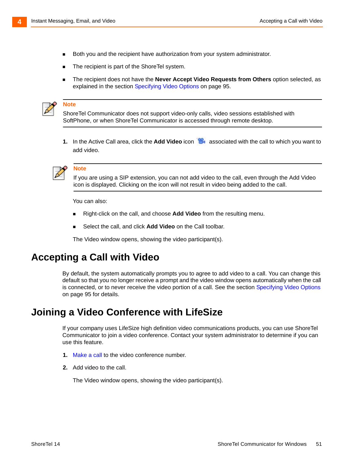- Both you and the recipient have authorization from your system administrator.
- The recipient is part of the ShoreTel system.
- The recipient does not have the **Never Accept Video Requests from Others** option selected, as explained in the section [Specifying Video Options on page 95.](#page-94-0)



#### **Note**

ShoreTel Communicator does not support video-only calls, video sessions established with SoftPhone, or when ShoreTel Communicator is accessed through remote desktop.

**1.** In the Active Call area, click the Add Video icon **8** associated with the call to which you want to add video.



#### **Note**

If you are using a SIP extension, you can not add video to the call, even through the Add Video icon is displayed. Clicking on the icon will not result in video being added to the call.

You can also:

- Right-click on the call, and choose **Add Video** from the resulting menu.
- Select the call, and click **Add Video** on the Call toolbar.

The Video window opens, showing the video participant(s).

### <span id="page-50-0"></span>**Accepting a Call with Video**

By default, the system automatically prompts you to agree to add video to a call. You can change this default so that you no longer receive a prompt and the video window opens automatically when the call is connected, or to never receive the video portion of a call. See the section [Specifying Video Options](#page-94-0) [on page 95](#page-94-0) for details.

### <span id="page-50-1"></span>**Joining a Video Conference with LifeSize**

If your company uses LifeSize high definition video communications products, you can use ShoreTel Communicator to join a video conference. Contact your system administrator to determine if you can use this feature.

- **1.** Make a call to the video conference number.
- **2.** [Add video to the call.](#page-49-2)

The Video window opens, showing the video participant(s).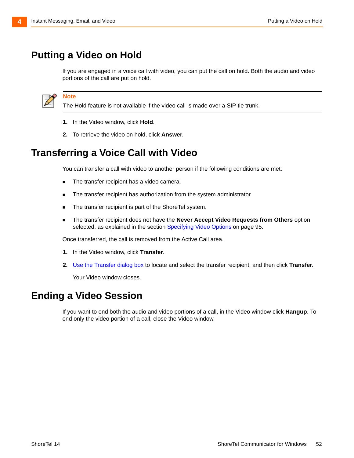**Note**

## <span id="page-51-0"></span>**Putting a Video on Hold**

If you are engaged in a voice call with video, you can put the call on hold. Both the audio and video portions of the call are put on hold.



The Hold feature is not available if the video call is made over a SIP tie trunk.

- **1.** In the Video window, click **Hold**.
- **2.** To retrieve the video on hold, click **Answer**.

## <span id="page-51-1"></span>**Transferring a Voice Call with Video**

You can transfer a call with video to another person if the following conditions are met:

- The transfer recipient has a video camera.
- **The transfer recipient has authorization from the system administrator.**
- The transfer recipient is part of the ShoreTel system.
- The transfer recipient does not have the **Never Accept Video Requests from Others** option selected, as explained in the section [Specifying Video Options on page 95.](#page-94-0)

Once transferred, the call is removed from the Active Call area.

- **1.** In the Video window, click **Transfer**.
- **2.** Use the Transfer dialog box to locate and select the transfer recipient, and then click **Transfer**.

Your Video window closes.

## <span id="page-51-2"></span>**Ending a Video Session**

If you want to end both the audio and video portions of a call, in the Video window click **Hangup**. To end only the video portion of a call, close the Video window.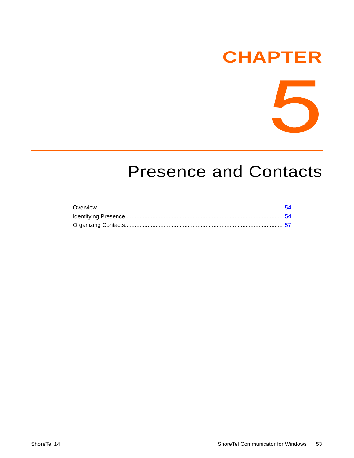## **CHAPTER**



## <span id="page-52-0"></span>**Presence and Contacts**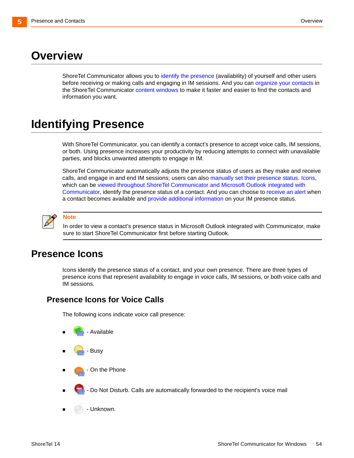## <span id="page-53-0"></span>**Overview**

ShoreTel Communicator allows you to [identify the presence](#page-53-1) (availability) of yourself and other users before receiving or making calls and engaging in IM sessions. And you ca[n organize your contacts](#page-56-0) in the ShoreTel Communicator [content windows](#page-13-0) to make it faster and easier to find the contacts and information you want.

## <span id="page-53-1"></span>**Identifying Presence**

With ShoreTel Communicator, you can identify a contact's presence to accept voice calls, IM sessions, or both. Using presence increases your productivity by reducing attempts to connect with unavailable parties, and blocks unwanted attempts to engage in IM.

ShoreTel Communicator automatically adjusts the presence status of users as they make and receive calls, and engage in and end IM sessions; users can also [manually set their presence status.](#page-55-1) [Icons](#page-53-2), which can be [viewed throughout ShoreTel Communicator and Microsoft Outlook integrated with](#page-55-2)  [Communicator](#page-55-2)[, identify the presence status of a contact. And you can choose to](#page-55-3) receive an alert when a contact becomes available an[d provide additional information](#page-55-4) on your IM presence status.



**Note**

In order to view a contact's presence status in Microsoft Outlook integrated with Communicator, make sure to start ShoreTel Communicator first before starting Outlook.

### <span id="page-53-2"></span>**Presence Icons**

Icons identify the presence status of a contact, and your own presence. There are three types of presence icons that represent availability to engage in voice calls, IM sessions, or both voice calls and IM sessions.

#### **Presence Icons for Voice Calls**

The following icons indicate voice call presence:





- On the Phone
- Do Not Disturb. Calls are automatically forwarded to the recipient's voice mail
- Unknown.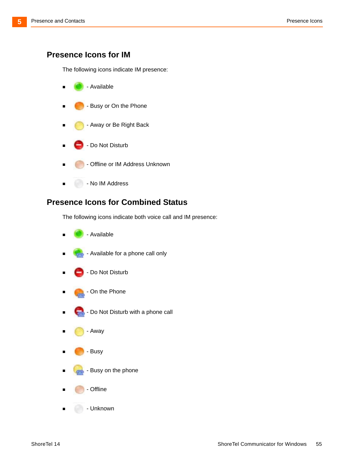#### **Presence Icons for IM**

The following icons indicate IM presence:



#### **Presence Icons for Combined Status**

The following icons indicate both voice call and IM presence:



- Available for a phone call only
- Do Not Disturb
- On the Phone
- Do Not Disturb with a phone call
- Away
- Busy
- Busy on the phone
- Offline
- Unknown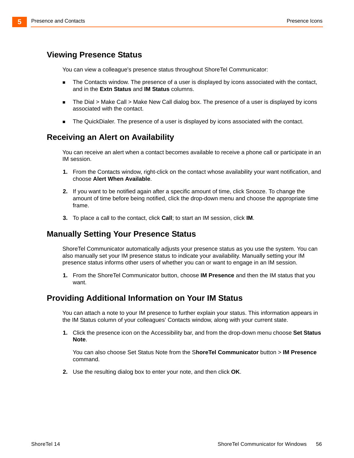#### <span id="page-55-2"></span>**Viewing Presence Status**

<span id="page-55-0"></span>You can view a colleague's presence status throughout ShoreTel Communicator:

- **The Contacts window. The presence of a user is displayed by icons associated with the contact,** and in the **Extn Status** and **IM Status** columns.
- The Dial > Make Call > Make New Call dialog box. The presence of a user is displayed by icons associated with the contact.
- **The QuickDialer. The presence of a user is displayed by icons associated with the contact.**

#### <span id="page-55-3"></span>**Receiving an Alert on Availability**

You can receive an alert when a contact becomes available to receive a phone call or participate in an IM session.

- **1.** From the Contacts window, right-click on the contact whose availability your want notification, and choose **Alert When Available**.
- **2.** If you want to be notified again after a specific amount of time, click Snooze. To change the amount of time before being notified, click the drop-down menu and choose the appropriate time frame.
- **3.** To place a call to the contact, click **Call**; to start an IM session, click **IM**.

#### <span id="page-55-1"></span>**Manually Setting Your Presence Status**

ShoreTel Communicator automatically adjusts your presence status as you use the system. You can also manually set your IM presence status to indicate your availability. Manually setting your IM presence status informs other users of whether you can or want to engage in an IM session.

**1.** From the ShoreTel Communicator button, choose **IM Presence** and then the IM status that you want.

#### <span id="page-55-4"></span>**Providing Additional Information on Your IM Status**

You can attach a note to your IM presence to further explain your status. This information appears in the IM Status column of your colleagues' Contacts window, along with your current state.

**1.** Click the presence icon on the Accessibility bar, and from the drop-down menu choose **Set Status Note**.

You can also choose Set Status Note from the S**horeTel Communicator** button > **IM Presence** command.

**2.** Use the resulting dialog box to enter your note, and then click **OK**.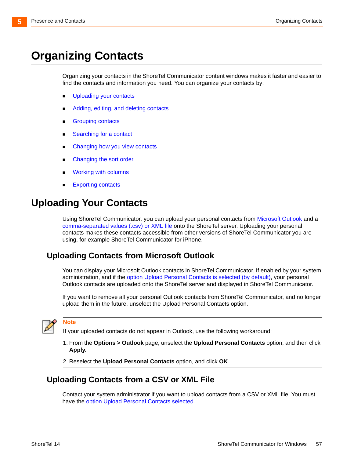## <span id="page-56-0"></span>**Organizing Contacts**

Organizing your contacts in the ShoreTel Communicator content windows makes it faster and easier to find the contacts and information you need. You can organize your contacts by:

- **Uploading your contacts**
- [Adding, editing, and deleting contacts](#page-57-1)
- [Grouping contacts](#page-58-0)
- [Searching for a contact](#page-58-1)
- Changing how you view contacts
- **Changing the sort order**
- [Working with columns](#page-59-1)
- [Exporting contacts](#page-60-0)

## **Uploading Your Contacts**

Using ShoreTel Communicator, you can upload your personal contacts from [Microsoft Outlook](#page-56-1) and a [comma-separated values \(.csv\) or XML file](#page-56-2) onto the ShoreTel server. Uploading your personal contacts makes these contacts accessible from other versions of ShoreTel Communicator you are using, for example ShoreTel Communicator for iPhone.

#### <span id="page-56-1"></span>**Uploading Contacts from Microsoft Outlook**

You can display your Microsoft Outlook contacts in ShoreTel Communicator. If enabled by your system administration, and if the [option Upload Personal Contacts is selected \(by default\)](#page-89-0), your personal Outlook contacts are uploaded onto the ShoreTel server and displayed in ShoreTel Communicator.

If you want to remove all your personal Outlook contacts from ShoreTel Communicator, and no longer upload them in the future, unselect the Upload Personal Contacts option.



#### **Note**

If your uploaded contacts do not appear in Outlook, use the following workaround:

- 1. From the **Options > Outlook** page, unselect the **Upload Personal Contacts** option, and then click **Apply**.
- 2. Reselect the **Upload Personal Contacts** option, and click **OK**.

#### <span id="page-56-2"></span>**Uploading Contacts from a CSV or XML File**

Contact your system administrator if you want to upload contacts from a CSV or XML file. You must have th[e option Upload Personal Contacts selected.](#page-89-0)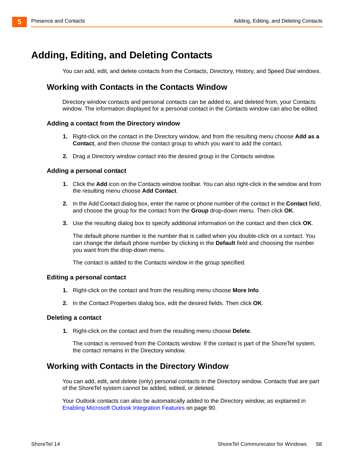## <span id="page-57-1"></span>**Adding, Editing, and Deleting Contacts**

<span id="page-57-0"></span>You can add, edit, and delete contacts from the Contacts, Directory, History, and Speed Dial windows.

#### <span id="page-57-2"></span>**Working with Contacts in the Contacts Window**

Directory window contacts and personal contacts can be added to, and deleted from, your Contacts window. The information displayed for a personal contact in the Contacts window can also be edited.

#### **Adding a contact from the Directory window**

- **1.** Right-click on the contact in the Directory window, and from the resulting menu choose **Add as a Contact**, and then choose the contact group to which you want to add the contact.
- **2.** Drag a Directory window contact into the desired group in the Contacts window.

#### **Adding a personal contact**

- **1.** Click the **Add** icon on the Contacts window toolbar. You can also right-click in the window and from the resulting menu choose **Add Contact**.
- **2.** In the Add Contact dialog box, enter the name or phone number of the contact in the **Contact** field, and choose the group for the contact from the **Group** drop-down menu. Then click **OK**.
- **3.** Use the resulting dialog box to specify additional information on the contact and then click **OK**.

The default phone number is the number that is called when you double-click on a contact. You can change the default phone number by clicking in the **Default** field and choosing the number you want from the drop-down menu.

The contact is added to the Contacts window in the group specified.

#### **Editing a personal contact**

- **1.** Right-click on the contact and from the resulting menu choose **More Info**.
- **2.** In the Contact Properties dialog box, edit the desired fields. Then click **OK**.

#### **Deleting a contact**

**1.** Right-click on the contact and from the resulting menu choose **Delete**.

The contact is removed from the Contacts window. If the contact is part of the ShoreTel system, the contact remains in the Directory window.

#### **Working with Contacts in the Directory Window**

You can add, edit, and delete (only) personal contacts in the Directory window. Contacts that are part of the ShoreTel system cannot be added, edited, or deleted.

Your Outlook contacts can also be automatically added to the Directory window, as explained in [Enabling Microsoft Outlook Integration Features on page 90](#page-89-1).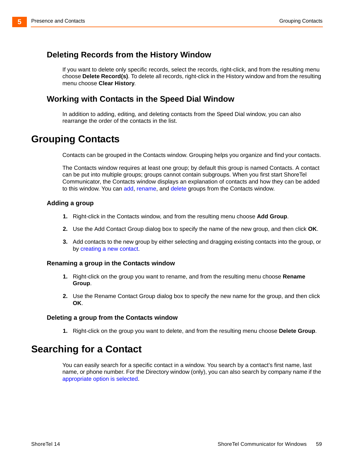#### **Deleting Records from the History Window**

If you want to delete only specific records, select the records, right-click, and from the resulting menu choose **Delete Record(s)**. To delete all records, right-click in the History window and from the resulting menu choose **Clear History**.

#### **Working with Contacts in the Speed Dial Window**

In addition to adding, editing, and deleting contacts from the Speed Dial window, you can also rearrange the order of the contacts in the list.

## <span id="page-58-0"></span>**Grouping Contacts**

Contacts can be grouped in the Contacts window. Grouping helps you organize and find your contacts.

The Contacts window requires at least one group; by default this group is named Contacts. A contact can be put into multiple groups; groups cannot contain subgroups. When you first start ShoreTel Communicator, the Contacts window displays an explanation of contacts and how they can be added to this window. You can add, rename, and delete groups from the Contacts window.

#### **Adding a group**

- **1.** Right-click in the Contacts window, and from the resulting menu choose **Add Group**.
- **2.** Use the Add Contact Group dialog box to specify the name of the new group, and then click **OK**.
- **3.** [Add contacts to the new group by either selecting and dragging existing contacts into the group, or](#page-57-2)  [by](#page-57-2) creating a new contact.

#### **Renaming a group in the Contacts window**

- **1.** Right-click on the group you want to rename, and from the resulting menu choose **Rename Group**.
- **2.** Use the Rename Contact Group dialog box to specify the new name for the group, and then click **OK**.

#### **Deleting a group from the Contacts window**

**1.** Right-click on the group you want to delete, and from the resulting menu choose **Delete Group**.

## <span id="page-58-1"></span>**Searching for a Contact**

You can easily search for a specific contact in a window. You search by a contact's first name, last name, or phone number. For the Directory window (only), you can also search by company name if the [appropriate option is selected.](#page-96-0)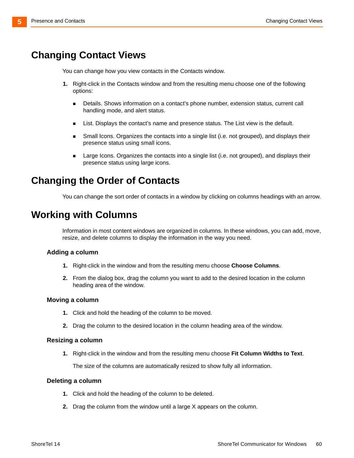## **Changing Contact Views**

You can change how you view contacts in the Contacts window.

- **1.** Right-click in the Contacts window and from the resulting menu choose one of the following options:
	- **Details. Shows information on a contact's phone number, extension status, current call** handling mode, and alert status.
	- **EXECT** List. Displays the contact's name and presence status. The List view is the default.
	- **Small Icons. Organizes the contacts into a single list (i.e. not grouped), and displays their** presence status using small icons.
	- **EXECT** Large Icons. Organizes the contacts into a single list (i.e. not grouped), and displays their presence status using large icons.

## <span id="page-59-0"></span>**Changing the Order of Contacts**

You can change the sort order of contacts in a window by clicking on columns headings with an arrow.

## <span id="page-59-1"></span>**Working with Columns**

Information in most content windows are organized in columns. In these windows, you can add, move, resize, and delete columns to display the information in the way you need.

#### **Adding a column**

- **1.** Right-click in the window and from the resulting menu choose **Choose Columns**.
- **2.** From the dialog box, drag the column you want to add to the desired location in the column heading area of the window.

#### **Moving a column**

- **1.** Click and hold the heading of the column to be moved.
- **2.** Drag the column to the desired location in the column heading area of the window.

#### **Resizing a column**

**1.** Right-click in the window and from the resulting menu choose **Fit Column Widths to Text**.

The size of the columns are automatically resized to show fully all information.

#### **Deleting a column**

- **1.** Click and hold the heading of the column to be deleted.
- **2.** Drag the column from the window until a large X appears on the column.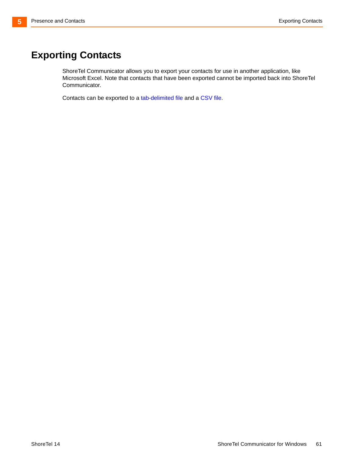## <span id="page-60-0"></span>**Exporting Contacts**

ShoreTel Communicator allows you to export your contacts for use in another application, like Microsoft Excel. Note that contacts that have been exported cannot be imported back into ShoreTel Communicator.

Contacts can be exported to a tab-delimited file and a CSV file.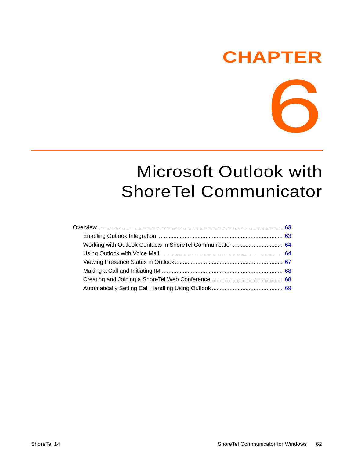## **CHAPTER**



## Microsoft Outlook with ShoreTel Communicator

| Working with Outlook Contacts in ShoreTel Communicator  64 |  |
|------------------------------------------------------------|--|
|                                                            |  |
|                                                            |  |
|                                                            |  |
|                                                            |  |
|                                                            |  |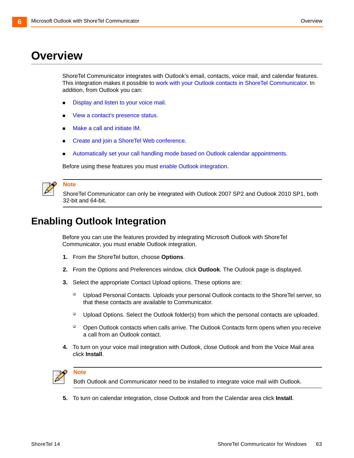## <span id="page-62-0"></span>**Overview**

ShoreTel Communicator integrates with Outlook's email, contacts, voice mail, and calendar features. This integration makes it possible to [work with your Outlook contacts in ShoreTel Communicator.](#page-63-0) In addition, from Outlook you can:

- Display and listen to your voice mail.
- [View a contact's presence status.](#page-66-2)
- [Make a call and initiate IM.](#page-67-1)
- [Create and join a ShoreTel Web conference.](#page-67-2)
- [Automatically set your call handling mode based on Outlook calendar appointments.](#page-68-0)

[Before using these features you must](#page-62-1) enable Outlook integration.



#### **Note**

ShoreTel Communicator can only be integrated with Outlook 2007 SP2 and Outlook 2010 SP1, both 32-bit and 64-bit.

## <span id="page-62-1"></span>**Enabling Outlook Integration**

Before you can use the features provided by integrating Microsoft Outlook with ShoreTel Communicator, you must enable Outlook integration.

- **1.** From the ShoreTel button, choose **Options**.
- **2.** From the Options and Preferences window, click **Outlook**. The Outlook page is displayed.
- **3.** Select the appropriate Contact Upload options. These options are:
	- □ Upload Personal Contacts. Uploads your personal Outlook contacts to the ShoreTel server, so that these contacts are available to Communicator.
	- □ Upload Options. Select the Outlook folder(s) from which the personal contacts are uploaded.
	- □ Open Outlook contacts when calls arrive. The Outlook Contacts form opens when you receive a call from an Outlook contact.
- **4.** To turn on your voice mail integration with Outlook, close Outlook and from the Voice Mail area click **Install**.



#### **Note**

Both Outlook and Communicator need to be installed to integrate voice mail with Outlook.

**5.** To turn on calendar integration, close Outlook and from the Calendar area click **Install**.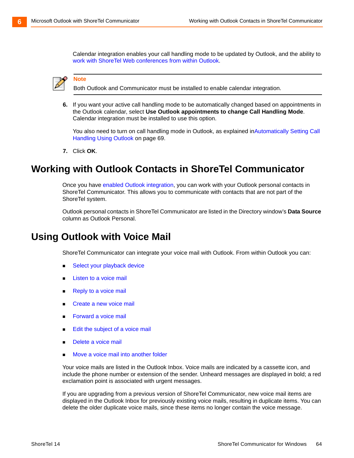Calendar integration enables your call handling mode to be updated by Outlook, and the ability to [work with ShoreTel Web conferences from within Outlook.](#page-67-2)



**Note**

Both Outlook and Communicator must be installed to enable calendar integration.

**6.** If you want your active call handling mode to be automatically changed based on appointments in the Outlook calendar, select **Use Outlook appointments to change Call Handling Mode**. Calendar integration must be installed to use this option.

You also need to turn on call handling mode in Outlook, as explained inAutomatically Setting Call [Handling Using Outlook on page 69.](#page-68-0)

**7.** Click **OK**.

## <span id="page-63-0"></span>**Working with Outlook Contacts in ShoreTel Communicator**

Once you hav[e enabled Outlook integration](#page-62-1), you can work with your Outlook personal contacts in ShoreTel Communicator. This allows you to communicate with contacts that are not part of the ShoreTel system.

Outlook personal contacts in ShoreTel Communicator are listed in the Directory window's **Data Source** column as Outlook Personal.

## <span id="page-63-1"></span>**Using Outlook with Voice Mail**

ShoreTel Communicator can integrate your voice mail with Outlook. From within Outlook you can:

- Select your playback device
- **E** [Listen to a voice mail](#page-64-2)
- **Reply to a voice mail**
- **[Create a new voice mail](#page-65-2)**
- **[Forward a voice mail](#page-65-3)**
- [Edit the subject of a voice mail](#page-66-3)
- [Delete a voice mail](#page-66-4)
- [Move a voice mail into another folder](#page-66-5)

Your voice mails are listed in the Outlook Inbox. Voice mails are indicated by a cassette icon, and include the phone number or extension of the sender. Unheard messages are displayed in bold; a red exclamation point is associated with urgent messages.

If you are upgrading from a previous version of ShoreTel Communicator, new voice mail items are displayed in the Outlook Inbox for previously existing voice mails, resulting in duplicate items. You can delete the older duplicate voice mails, since these items no longer contain the voice message.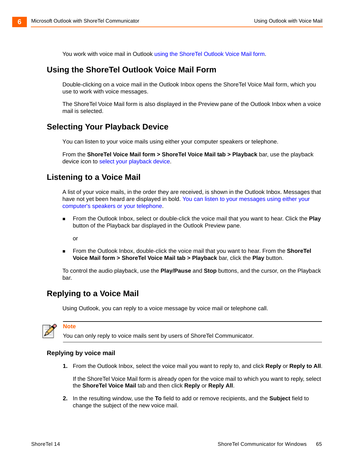You work with voice mail in Outlook using the ShoreTel Outlook Voice Mail form.

#### <span id="page-64-4"></span>**Using the ShoreTel Outlook Voice Mail Form**

Double-clicking on a voice mail in the Outlook Inbox opens the ShoreTel Voice Mail form, which you use to work with voice messages.

The ShoreTel Voice Mail form is also displayed in the Preview pane of the Outlook Inbox when a voice mail is selected.

#### **Selecting Your Playback Device**

You can listen to your voice mails using either your computer speakers or telephone.

<span id="page-64-0"></span>From the **ShoreTel Voice Mail form > ShoreTel Voice Mail tab > Playback** bar, use the playback device icon t[o select your playback device](#page-35-1).

#### <span id="page-64-2"></span>**Listening to a Voice Mail**

[A list of your voice mails, in the order they are received, is shown in the Outlook Inbox. Messages that](#page-36-3)  [have not yet been heard are displayed in bold. Y](#page-36-3)ou can listen to your messages using either your computer's speakers or your telephone.

 From the Outlook Inbox, select or double-click the voice mail that you want to hear. Click the **Play** button of the Playback bar displayed in the Outlook Preview pane.

or

 From the Outlook Inbox, double-click the voice mail that you want to hear. From the **ShoreTel Voice Mail form > ShoreTel Voice Mail tab > Playback** bar, click the **Play** button.

<span id="page-64-1"></span>To control the audio playback, use the **Play/Pause** and **Stop** buttons, and the cursor, on the Playback bar.

#### <span id="page-64-3"></span>**Replying to a Voice Mail**

Using Outlook, you can reply to a voice message by voice mail or telephone call.

**Note**

You can only reply to voice mails sent by users of ShoreTel Communicator.

#### **Replying by voice mail**

**1.** From the Outlook Inbox, select the voice mail you want to reply to, and click **Reply** or **Reply to All**.

If the ShoreTel Voice Mail form is already open for the voice mail to which you want to reply, select the **ShoreTel Voice Mail** tab and then click **Reply** or **Reply All**.

**2.** In the resulting window, use the **To** field to add or remove recipients, and the **Subject** field to change the subject of the new voice mail.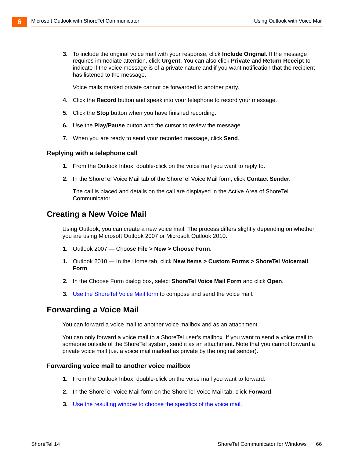**3.** To include the original voice mail with your response, click **Include Original**. If the message requires immediate attention, click **Urgent**. You can also click **Private** and **Return Receipt** to indicate if the voice message is of a private nature and if you want notification that the recipient has listened to the message.

Voice mails marked private cannot be forwarded to another party.

- **4.** Click the **Record** button and speak into your telephone to record your message.
- **5.** Click the **Stop** button when you have finished recording.
- **6.** Use the **Play/Pause** button and the cursor to review the message.
- **7.** When you are ready to send your recorded message, click **Send**.

#### **Replying with a telephone call**

- **1.** From the Outlook Inbox, double-click on the voice mail you want to reply to.
- **2.** In the ShoreTel Voice Mail tab of the ShoreTel Voice Mail form, click **Contact Sender**.

<span id="page-65-1"></span>The call is placed and details on the call are displayed in the Active Area of ShoreTel Communicator.

#### <span id="page-65-2"></span>**Creating a New Voice Mail**

Using Outlook, you can create a new voice mail. The process differs slightly depending on whether you are using Microsoft Outlook 2007 or Microsoft Outlook 2010.

- **1.** Outlook 2007 Choose **File > New > Choose Form**.
- **1.** Outlook 2010 In the Home tab, click **New Items > Custom Forms > ShoreTel Voicemail Form**.
- **2.** In the Choose Form dialog box, select **ShoreTel Voice Mail Form** and click **Open**.
- <span id="page-65-0"></span>**3.** [Use the ShoreTel Voice Mail form](#page-64-4) to compose and send the voice mail.

#### <span id="page-65-3"></span>**Forwarding a Voice Mail**

You can forward a voice mail to another voice mailbox and as an attachment.

You can only forward a voice mail to a ShoreTel user's mailbox. If you want to send a voice mail to someone outside of the ShoreTel system, send it as an attachment. Note that you cannot forward a private voice mail (i.e. a voice mail marked as private by the original sender).

#### **Forwarding voice mail to another voice mailbox**

- **1.** From the Outlook Inbox, double-click on the voice mail you want to forward.
- **2.** In the ShoreTel Voice Mail form on the ShoreTel Voice Mail tab, click **Forward**.
- **3.** Use the resulting window to choose the specifics of the voice mail.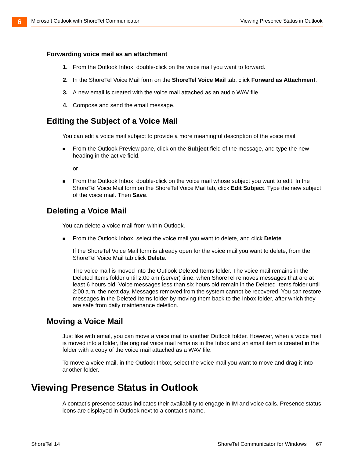#### **Forwarding voice mail as an attachment**

- **1.** From the Outlook Inbox, double-click on the voice mail you want to forward.
- **2.** In the ShoreTel Voice Mail form on the **ShoreTel Voice Mail** tab, click **Forward as Attachment**.
- **3.** A new email is created with the voice mail attached as an audio WAV file.
- <span id="page-66-1"></span>**4.** Compose and send the email message.

#### <span id="page-66-3"></span>**Editing the Subject of a Voice Mail**

You can edit a voice mail subject to provide a more meaningful description of the voice mail.

 From the Outlook Preview pane, click on the **Subject** field of the message, and type the new heading in the active field.

<span id="page-66-0"></span>or

**From the Outlook Inbox, double-click on the voice mail whose subject you want to edit. In the** ShoreTel Voice Mail form on the ShoreTel Voice Mail tab, click **Edit Subject**. Type the new subject of the voice mail. Then **Save**.

#### <span id="page-66-4"></span>**Deleting a Voice Mail**

You can delete a voice mail from within Outlook.

From the Outlook Inbox, select the voice mail you want to delete, and click **Delete**.

If the ShoreTel Voice Mail form is already open for the voice mail you want to delete, from the ShoreTel Voice Mail tab click **Delete**.

The voice mail is moved into the Outlook Deleted Items folder. The voice mail remains in the Deleted Items folder until 2:00 am (server) time, when ShoreTel removes messages that are at least 6 hours old. Voice messages less than six hours old remain in the Deleted Items folder until 2:00 a.m. the next day. Messages removed from the system cannot be recovered. You can restore messages in the Deleted Items folder by moving them back to the Inbox folder, after which they are safe from daily maintenance deletion.

#### <span id="page-66-5"></span>**Moving a Voice Mail**

Just like with email, you can move a voice mail to another Outlook folder. However, when a voice mail is moved into a folder, the original voice mail remains in the Inbox and an email item is created in the folder with a copy of the voice mail attached as a WAV file.

To move a voice mail, in the Outlook Inbox, select the voice mail you want to move and drag it into another folder.

## <span id="page-66-2"></span>**Viewing Presence Status in Outlook**

A contact's presence status indicates their availability to engage in IM and voice calls. Presence status icons are displayed in Outlook next to a contact's name.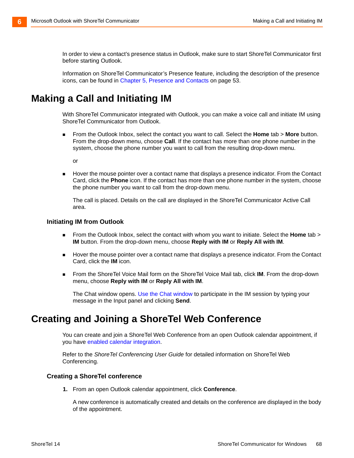In order to view a contact's presence status in Outlook, make sure to start ShoreTel Communicator first before starting Outlook.

<span id="page-67-0"></span>Information on ShoreTel Communicator's Presence feature, including the description of the presence icons, can be found in [Chapter 5, Presence and Contacts on page 53.](#page-52-0)

## <span id="page-67-1"></span>**Making a Call and Initiating IM**

With ShoreTel Communicator integrated with Outlook, you can make a voice call and initiate IM using ShoreTel Communicator from Outlook.

 From the Outlook Inbox, select the contact you want to call. Select the **Home** tab > **More** button. From the drop-down menu, choose **Call**. If the contact has more than one phone number in the system, choose the phone number you want to call from the resulting drop-down menu.

or

 Hover the mouse pointer over a contact name that displays a presence indicator. From the Contact Card, click the **Phone** icon. If the contact has more than one phone number in the system, choose the phone number you want to call from the drop-down menu.

The call is placed. Details on the call are displayed in the ShoreTel Communicator Active Call area.

#### **Initiating IM from Outlook**

- From the Outlook Inbox, select the contact with whom you want to initiate. Select the **Home** tab > **IM** button. From the drop-down menu, choose **Reply with IM** or **Reply All with IM**.
- **Hover the mouse pointer over a contact name that displays a presence indicator. From the Contact** Card, click the **IM** icon.
- From the ShoreTel Voice Mail form on the ShoreTel Voice Mail tab, click **IM**. From the drop-down menu, choose **Reply with IM** or **Reply All with IM**.

[The Chat window opens. U](#page-45-2)se the Chat window to participate in the IM session by typing your message in the Input panel and clicking **Send**.

### <span id="page-67-2"></span>**Creating and Joining a ShoreTel Web Conference**

[You can create and join a ShoreTel Web Conference from an open Outlook calendar appointment, if](#page-62-1)  [you have](#page-62-1) enabled calendar integration.

Refer to the *ShoreTel Conferencing User Guide* for detailed information on ShoreTel Web Conferencing.

#### **Creating a ShoreTel conference**

**1.** From an open Outlook calendar appointment, click **Conference**.

A new conference is automatically created and details on the conference are displayed in the body of the appointment.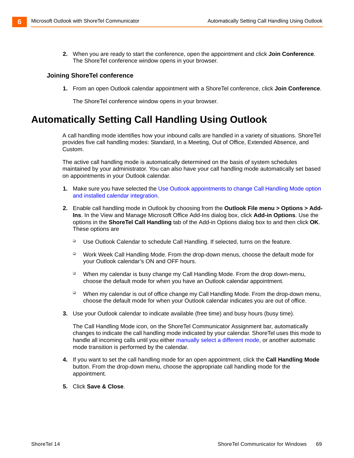**2.** When you are ready to start the conference, open the appointment and click **Join Conference**. The ShoreTel conference window opens in your browser.

#### **Joining ShoreTel conference**

**1.** From an open Outlook calendar appointment with a ShoreTel conference, click **Join Conference**.

The ShoreTel conference window opens in your browser.

## <span id="page-68-0"></span>**Automatically Setting Call Handling Using Outlook**

A call handling mode identifies how your inbound calls are handled in a variety of situations. ShoreTel provides five call handling modes: Standard, In a Meeting, Out of Office, Extended Absence, and Custom.

The active call handling mode is automatically determined on the basis of system schedules maintained by your administrator. You can also have your call handling mode automatically set based on appointments in your Outlook calendar.

- **1.** Make sure you have selected th[e Use Outlook appointments to change Call Handling Mode option](#page-62-1)  [and installed calendar integration.](#page-62-1)
- **2.** Enable call handling mode in Outlook by choosing from the **Outlook File menu > Options > Add-Ins**. In the View and Manage Microsoft Office Add-Ins dialog box, click **Add-in Options**. Use the options in the **ShoreTel Call Handling** tab of the Add-in Options dialog box to and then click **OK**. These options are
	- Duse Outlook Calendar to schedule Call Handling. If selected, turns on the feature.
	- □ Work Week Call Handling Mode. From the drop-down menus, choose the default mode for your Outlook calendar's ON and OFF hours.
	- When my calendar is busy change my Call Handling Mode. From the drop down-menu, choose the default mode for when you have an Outlook calendar appointment.
	- <sup>D</sup> When my calendar is out of office change my Call Handling Mode. From the drop-down menu, choose the default mode for when your Outlook calendar indicates you are out of office.
- **3.** Use your Outlook calendar to indicate available (free time) and busy hours (busy time).

The Call Handling Mode icon, on the ShoreTel Communicator Assignment bar, automatically changes to indicate the call handling mode indicated by your calendar. ShoreTel uses this mode to handle all incoming calls until you either [manually select a different mode,](#page-24-0) or another automatic mode transition is performed by the calendar.

- **4.** If you want to set the call handling mode for an open appointment, click the **Call Handling Mode** button. From the drop-down menu, choose the appropriate call handling mode for the appointment.
- **5.** Click **Save & Close**.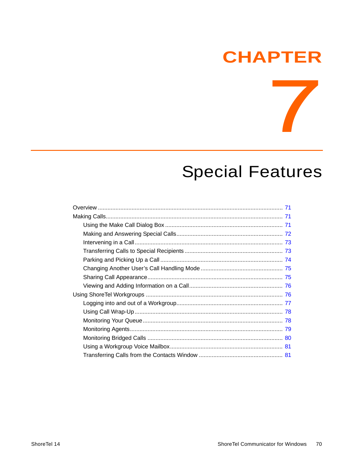## **CHAPTER**

## **Special Features**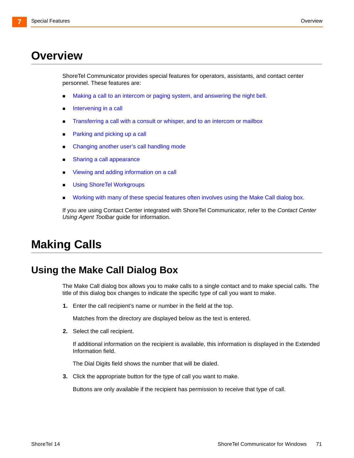## <span id="page-70-0"></span>**Overview**

ShoreTel Communicator provides special features for operators, assistants, and contact center personnel. These features are:

- **Making a call to an intercom or paging system, and answering the night bell.**
- **[Intervening in a call](#page-72-0)**
- **[Transferring a call with a consult or whisper, and to an intercom or mailbox](#page-72-1)**
- **[Parking and picking up a call](#page-73-0)**
- **[Changing another user's call handling mode](#page-74-0)**
- **[Sharing a call appearance](#page-74-1)**
- **[Viewing and adding information on a call](#page-75-1)**
- **[Using ShoreTel Workgroups](#page-75-0)**
- **[Working with many of these special features often involves using the Make Call dialog box.](#page-70-2)**

If you are using Contact Center integrated with ShoreTel Communicator, refer to the *Contact Center Using Agent Toolbar* guide for information.

## <span id="page-70-1"></span>**Making Calls**

## <span id="page-70-2"></span>**Using the Make Call Dialog Box**

The Make Call dialog box allows you to make calls to a single contact and to make special calls. The title of this dialog box changes to indicate the specific type of call you want to make.

**1.** Enter the call recipient's name or number in the field at the top.

Matches from the directory are displayed below as the text is entered.

**2.** Select the call recipient.

If additional information on the recipient is available, this information is displayed in the Extended Information field.

The Dial Digits field shows the number that will be dialed.

**3.** Click the appropriate button for the type of call you want to make.

Buttons are only available if the recipient has permission to receive that type of call.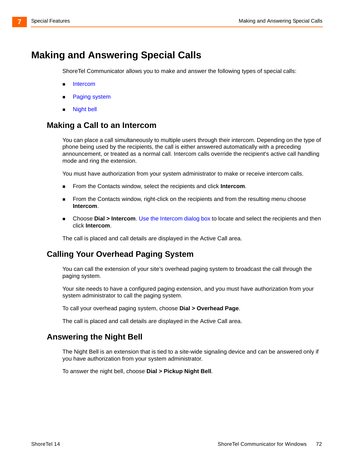## <span id="page-71-0"></span>**Making and Answering Special Calls**

ShoreTel Communicator allows you to make and answer the following types of special calls:

- **Intercom**
- **[Paging system](#page-71-1)**
- **Night bell**

#### **Making a Call to an Intercom**

You can place a call simultaneously to multiple users through their intercom. Depending on the type of phone being used by the recipients, the call is either answered automatically with a preceding announcement, or treated as a normal call. Intercom calls override the recipient's active call handling mode and ring the extension.

You must have authorization from your system administrator to make or receive intercom calls.

- From the Contacts window, select the recipients and click **Intercom**.
- **From the Contacts window, right-click on the recipients and from the resulting menu choose Intercom**.
- Choose **Dial > Intercom**[.](#page-70-2) Use the Intercom dialog box to locate and select the recipients and then click **Intercom**.

The call is placed and call details are displayed in the Active Call area.

#### <span id="page-71-1"></span>**Calling Your Overhead Paging System**

You can call the extension of your site's overhead paging system to broadcast the call through the paging system.

Your site needs to have a configured paging extension, and you must have authorization from your system administrator to call the paging system.

To call your overhead paging system, choose **Dial > Overhead Page**.

The call is placed and call details are displayed in the Active Call area.

#### <span id="page-71-2"></span>**Answering the Night Bell**

The Night Bell is an extension that is tied to a site-wide signaling device and can be answered only if you have authorization from your system administrator.

To answer the night bell, choose **Dial > Pickup Night Bell**.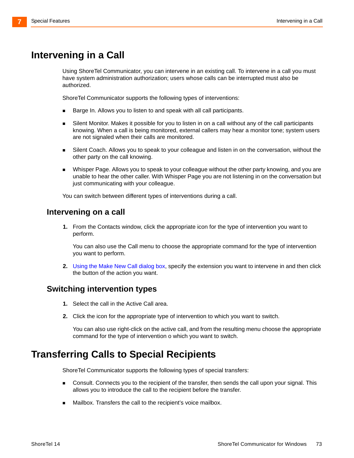# <span id="page-72-0"></span>**Intervening in a Call**

Using ShoreTel Communicator, you can intervene in an existing call. To intervene in a call you must have system administration authorization; users whose calls can be interrupted must also be authorized.

ShoreTel Communicator supports the following types of interventions:

- Barge In. Allows you to listen to and speak with all call participants.
- Silent Monitor. Makes it possible for you to listen in on a call without any of the call participants knowing. When a call is being monitored, external callers may hear a monitor tone; system users are not signaled when their calls are monitored.
- **Silent Coach. Allows you to speak to your colleague and listen in on the conversation, without the** other party on the call knowing.
- Whisper Page. Allows you to speak to your colleague without the other party knowing, and you are unable to hear the other caller. With Whisper Page you are not listening in on the conversation but just communicating with your colleague.

You can switch between different types of interventions during a call.

#### **Intervening on a call**

**1.** From the Contacts window, click the appropriate icon for the type of intervention you want to perform.

You can also use the Call menu to choose the appropriate command for the type of intervention you want to perform.

**2.** Using the Make New Call dialog box, specify the extension you want to intervene in and then click the button of the action you want.

#### **Switching intervention types**

- **1.** Select the call in the Active Call area.
- **2.** Click the icon for the appropriate type of intervention to which you want to switch.

You can also use right-click on the active call, and from the resulting menu choose the appropriate command for the type of intervention o which you want to switch.

# **Transferring Calls to Special Recipients**

ShoreTel Communicator supports the following types of special transfers:

- **Consult. Connects you to the recipient of the transfer, then sends the call upon your signal. This** allows you to introduce the call to the recipient before the transfer.
- Mailbox. Transfers the call to the recipient's voice mailbox.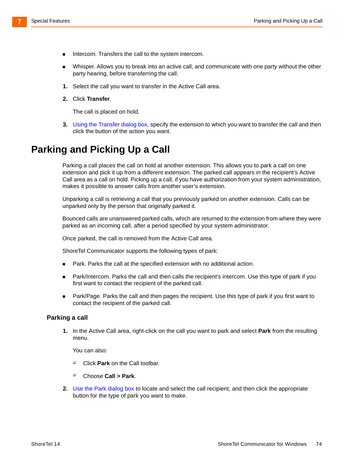- Intercom. Transfers the call to the system intercom.
- Whisper. Allows you to break into an active call, and communicate with one party without the other party hearing, before transferring the call.
- **1.** Select the call you want to transfer in the Active Call area.
- **2.** Click **Transfer**.

The call is placed on hold.

**3.** Using the Transfer dialog box, specify the extension to which you want to transfer the call and then click the button of the action you want.

# <span id="page-73-0"></span>**Parking and Picking Up a Call**

Parking a call places the call on hold at another extension. This allows you to park a call on one extension and pick it up from a different extension. The parked call appears in the recipient's Active Call area as a call on hold. Picking up a call, if you have authorization from your system administration, makes it possible to answer calls from another user's extension.

Unparking a call is retrieving a call that you previously parked on another extension. Calls can be unparked only by the person that originally parked it.

Bounced calls are unanswered parked calls, which are returned to the extension from where they were parked as an incoming call, after a period specified by your system administrator.

Once parked, the call is removed from the Active Call area.

ShoreTel Communicator supports the following types of park:

- Park. Parks the call at the specified extension with no additional action.
- **Park/Intercom. Parks the call and then calls the recipient's intercom. Use this type of park if you** first want to contact the recipient of the parked call.
- **Park/Page. Parks the call and then pages the recipient. Use this type of park if you first want to** contact the recipient of the parked call.

#### **Parking a call**

**1.** In the Active Call area, right-click on the call you want to park and select **Park** from the resulting menu.

You can also:

- Click **Park** on the Call toolbar.
- Choose **Call > Park**.
- **2.** [Use the Park dialog box](#page-70-0) to locate and select the call recipient, and then click the appropriate button for the type of park you want to make.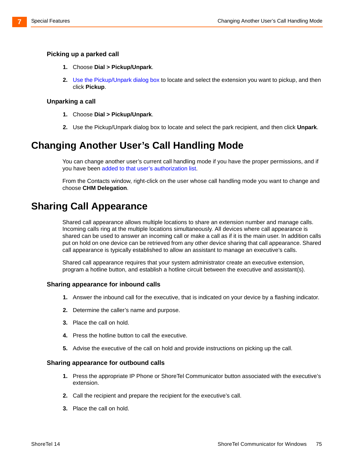#### **Picking up a parked call**

- **1.** Choose **Dial > Pickup/Unpark**.
- **2.** [Use the Pickup/Unpark dialog box](#page-70-0) to locate and select the extension you want to pickup, and then click **Pickup**.

#### **Unparking a call**

- **1.** Choose **Dial > Pickup/Unpark**.
- **2.** [Use the Pickup/Unpark dialog box to locate and select the park recipient, and then click](#page-70-0) **Unpark**.

# **Changing Another User's Call Handling Mode**

You can change another user's current call handling mode if you have the proper permissions, and if you have been [added to that user's authorization list](#page-84-0).

From the Contacts window, right-click on the user whose call handling mode you want to change and choose **CHM Delegation**.

# **Sharing Call Appearance**

Shared call appearance allows multiple locations to share an extension number and manage calls. Incoming calls ring at the multiple locations simultaneously. All devices where call appearance is shared can be used to answer an incoming call or make a call as if it is the main user. In addition calls put on hold on one device can be retrieved from any other device sharing that call appearance. Shared call appearance is typically established to allow an assistant to manage an executive's calls.

Shared call appearance requires that your system administrator create an executive extension, program a hotline button, and establish a hotline circuit between the executive and assistant(s).

#### **Sharing appearance for inbound calls**

- **1.** Answer the inbound call for the executive, that is indicated on your device by a flashing indicator.
- **2.** Determine the caller's name and purpose.
- **3.** Place the call on hold.
- **4.** Press the hotline button to call the executive.
- **5.** Advise the executive of the call on hold and provide instructions on picking up the call.

#### **Sharing appearance for outbound calls**

- **1.** Press the appropriate IP Phone or ShoreTel Communicator button associated with the executive's extension.
- **2.** Call the recipient and prepare the recipient for the executive's call.
- **3.** Place the call on hold.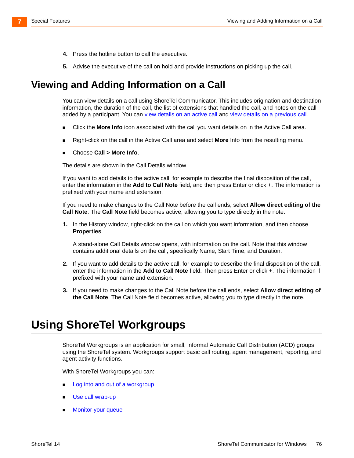- **4.** Press the hotline button to call the executive.
- **5.** Advise the executive of the call on hold and provide instructions on picking up the call.

# **Viewing and Adding Information on a Call**

You can view details on a call using ShoreTel Communicator. This includes origination and destination information, the duration of the call, the list of extensions that handled the call, and notes on the call added by a participant. You can view details on an active call and view details on a previous call.

- Click the **More Info** icon associated with the call you want details on in the Active Call area.
- Right-click on the call in the Active Call area and select **More** Info from the resulting menu.
- Choose **Call > More Info**.

The details are shown in the Call Details window.

If you want to add details to the active call, for example to describe the final disposition of the call, enter the information in the **Add to Call Note** field, and then press Enter or click +. The information is prefixed with your name and extension.

If you need to make changes to the Call Note before the call ends, select **Allow direct editing of the Call Note**. The **Call Note** field becomes active, allowing you to type directly in the note.

**1.** In the History window, right-click on the call on which you want information, and then choose **Properties**.

A stand-alone Call Details window opens, with information on the call. Note that this window contains additional details on the call, specifically Name, Start Time, and Duration.

- **2.** If you want to add details to the active call, for example to describe the final disposition of the call, enter the information in the **Add to Call Note** field. Then press Enter or click +. The information if prefixed with your name and extension.
- **3.** If you need to make changes to the Call Note before the call ends, select **Allow direct editing of the Call Note**. The Call Note field becomes active, allowing you to type directly in the note.

# **Using ShoreTel Workgroups**

ShoreTel Workgroups is an application for small, informal Automatic Call Distribution (ACD) groups using the ShoreTel system. Workgroups support basic call routing, agent management, reporting, and agent activity functions.

With ShoreTel Workgroups you can:

- Log into and out of a workgroup
- [Use call wrap-up](#page-77-0)
- [Monitor your queue](#page-77-1)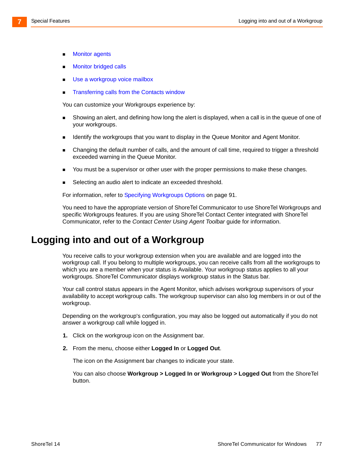- **Monitor agents**
- [Monitor bridged calls](#page-79-0)
- [Use a workgroup voice mailbox](#page-80-0)
- [Transferring calls from the Contacts window](#page-80-1)

You can customize your Workgroups experience by:

- Showing an alert, and defining how long the alert is displayed, when a call is in the queue of one of your workgroups.
- **IDENTIFY IDENTIFY the workgroups that you want to display in the Queue Monitor and Agent Monitor.**
- Changing the default number of calls, and the amount of call time, required to trigger a threshold exceeded warning in the Queue Monitor.
- **DED You must be a supervisor or other user with the proper permissions to make these changes.**
- Selecting an audio alert to indicate an exceeded threshold.

For information, refer to [Specifying Workgroups Options on page 91](#page-90-0).

You need to have the appropriate version of ShoreTel Communicator to use ShoreTel Workgroups and specific Workgroups features. If you are using ShoreTel Contact Center integrated with ShoreTel Communicator, refer to the *Contact Center Using Agent Toolbar* guide for information.

### <span id="page-76-0"></span>**Logging into and out of a Workgroup**

You receive calls to your workgroup extension when you are available and are logged into the workgroup call. If you belong to multiple workgroups, you can receive calls from all the workgroups to which you are a member when your status is Available. Your workgroup status applies to all your workgroups. ShoreTel Communicator displays workgroup status in the Status bar.

Your call control status appears in the Agent Monitor, which advises workgroup supervisors of your availability to accept workgroup calls. The workgroup supervisor can also log members in or out of the workgroup.

Depending on the workgroup's configuration, you may also be logged out automatically if you do not answer a workgroup call while logged in.

- **1.** Click on the workgroup icon on the Assignment bar.
- **2.** From the menu, choose either **Logged In** or **Logged Out**.

The icon on the Assignment bar changes to indicate your state.

You can also choose **Workgroup > Logged In or Workgroup > Logged Out** from the ShoreTel button.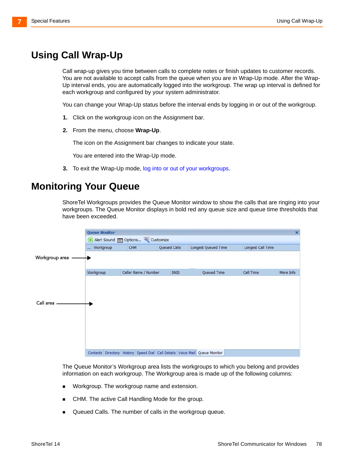# <span id="page-77-0"></span>**Using Call Wrap-Up**

Call wrap-up gives you time between calls to complete notes or finish updates to customer records. You are not available to accept calls from the queue when you are in Wrap-Up mode. After the Wrap-Up interval ends, you are automatically logged into the workgroup. The wrap up interval is defined for each workgroup and configured by your system administrator.

You can change your Wrap-Up status before the interval ends by logging in or out of the workgroup.

- **1.** Click on the workgroup icon on the Assignment bar.
- **2.** From the menu, choose **Wrap-Up**.

The icon on the Assignment bar changes to indicate your state.

You are entered into the Wrap-Up mode.

**3.** To exit the Wrap-Up mode, [log into or out of your workgroups.](#page-76-0)

### <span id="page-77-1"></span>**Monitoring Your Queue**

ShoreTel Workgroups provides the Queue Monitor window to show the calls that are ringing into your workgroups. The Queue Monitor displays in bold red any queue size and queue time thresholds that have been exceeded.

|                | <b>Queue Monitor</b>                          |                                                                                       |              |             |  |                            |                   | $\overline{\mathbf{x}}$ |  |
|----------------|-----------------------------------------------|---------------------------------------------------------------------------------------|--------------|-------------|--|----------------------------|-------------------|-------------------------|--|
|                | Alert Sound <b>Exercise</b> Options Customize |                                                                                       |              |             |  |                            |                   |                         |  |
|                | Workgroup                                     | CHM                                                                                   | Queued Calls |             |  | <b>Longest Queued Time</b> | Longest Call Time |                         |  |
| Workgroup area |                                               |                                                                                       |              |             |  |                            |                   |                         |  |
|                |                                               |                                                                                       |              |             |  |                            |                   |                         |  |
|                | Workgroup                                     | Caller Name / Number                                                                  |              | <b>DNIS</b> |  | Queued Time                | Call Time         | More Info               |  |
|                |                                               |                                                                                       |              |             |  |                            |                   |                         |  |
|                |                                               |                                                                                       |              |             |  |                            |                   |                         |  |
|                |                                               |                                                                                       |              |             |  |                            |                   |                         |  |
| Call area      |                                               |                                                                                       |              |             |  |                            |                   |                         |  |
|                |                                               |                                                                                       |              |             |  |                            |                   |                         |  |
|                |                                               |                                                                                       |              |             |  |                            |                   |                         |  |
|                |                                               |                                                                                       |              |             |  |                            |                   |                         |  |
|                |                                               |                                                                                       |              |             |  |                            |                   |                         |  |
|                |                                               |                                                                                       |              |             |  |                            |                   |                         |  |
|                |                                               | Contacts Directory   History   Speed Dial   Call Details   Voice Mail   Queue Monitor |              |             |  |                            |                   |                         |  |

The Queue Monitor's Workgroup area lists the workgroups to which you belong and provides information on each workgroup. The Workgroup area is made up of the following columns:

- Workgroup. The workgroup name and extension.
- CHM. The active Call Handling Mode for the group.
- Queued Calls. The number of calls in the workgroup queue.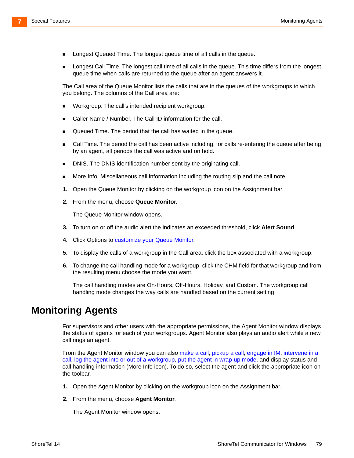- Longest Queued Time. The longest queue time of all calls in the queue.
- Longest Call Time. The longest call time of all calls in the queue. This time differs from the longest queue time when calls are returned to the queue after an agent answers it.

The Call area of the Queue Monitor lists the calls that are in the queues of the workgroups to which you belong. The columns of the Call area are:

- **Norkgroup. The call's intended recipient workgroup.**
- Caller Name / Number. The Call ID information for the call.
- Queued Time. The period that the call has waited in the queue.
- **EXEC** Call Time. The period the call has been active including, for calls re-entering the queue after being by an agent, all periods the call was active and on hold.
- **DNIS.** The DNIS identification number sent by the originating call.
- More Info. Miscellaneous call information including the routing slip and the call note.
- **1.** Open the Queue Monitor by clicking on the workgroup icon on the Assignment bar.
- **2.** From the menu, choose **Queue Monitor**.

The Queue Monitor window opens.

- **3.** To turn on or off the audio alert the indicates an exceeded threshold, click **Alert Sound**.
- **4.** [Click Options to c](#page-90-1)ustomize your Queue Monitor.
- **5.** To display the calls of a workgroup in the Call area, click the box associated with a workgroup.
- **6.** To change the call handling mode for a workgroup, click the CHM field for that workgroup and from the resulting menu choose the mode you want.

The call handling modes are On-Hours, Off-Hours, Holiday, and Custom. The workgroup call handling mode changes the way calls are handled based on the current setting.

### **Monitoring Agents**

For supervisors and other users with the appropriate permissions, the Agent Monitor window displays the status of agents for each of your workgroups. Agent Monitor also plays an audio alert while a new call rings an agent.

From the Agent Monitor window you can also [make a call](#page-26-0)[, p](#page-73-0)ickup a call, [engage in IM](#page-44-0), [intervene in a](#page-72-0)  [call,](#page-72-0) [log the agent into or out of a workgroup](#page-76-0), [put the agent in wrap-up mode,](#page-77-0) and display status and call handling information (More Info icon). To do so, select the agent and click the appropriate icon on the toolbar.

- **1.** Open the Agent Monitor by clicking on the workgroup icon on the Assignment bar.
- **2.** From the menu, choose **Agent Monitor**.

The Agent Monitor window opens.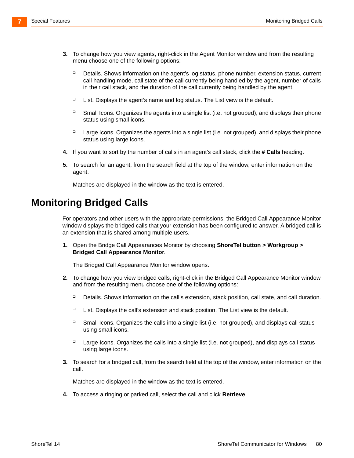- **3.** To change how you view agents, right-click in the Agent Monitor window and from the resulting menu choose one of the following options:
	- □ Details. Shows information on the agent's log status, phone number, extension status, current call handling mode, call state of the call currently being handled by the agent, number of calls in their call stack, and the duration of the call currently being handled by the agent.
	- □ List. Displays the agent's name and log status. The List view is the default.
	- <sup>D</sup> Small Icons. Organizes the agents into a single list (i.e. not grouped), and displays their phone status using small icons.
	- $\Box$  Large Icons. Organizes the agents into a single list (i.e. not grouped), and displays their phone status using large icons.
- **4.** If you want to sort by the number of calls in an agent's call stack, click the **# Calls** heading.
- **5.** To search for an agent, from the search field at the top of the window, enter information on the agent.

Matches are displayed in the window as the text is entered.

## <span id="page-79-0"></span>**Monitoring Bridged Calls**

For operators and other users with the appropriate permissions, the Bridged Call Appearance Monitor window displays the bridged calls that your extension has been configured to answer. A bridged call is an extension that is shared among multiple users.

**1.** Open the Bridge Call Appearances Monitor by choosing **ShoreTel button > Workgroup > Bridged Call Appearance Monitor**.

The Bridged Call Appearance Monitor window opens.

- **2.** To change how you view bridged calls, right-click in the Bridged Call Appearance Monitor window and from the resulting menu choose one of the following options:
	- Details. Shows information on the call's extension, stack position, call state, and call duration.
	- $\Box$  List. Displays the call's extension and stack position. The List view is the default.
	- $\Box$  Small Icons. Organizes the calls into a single list (i.e. not grouped), and displays call status using small icons.
	- $\Box$  Large Icons. Organizes the calls into a single list (i.e. not grouped), and displays call status using large icons.
- **3.** To search for a bridged call, from the search field at the top of the window, enter information on the call.

Matches are displayed in the window as the text is entered.

**4.** To access a ringing or parked call, select the call and click **Retrieve**.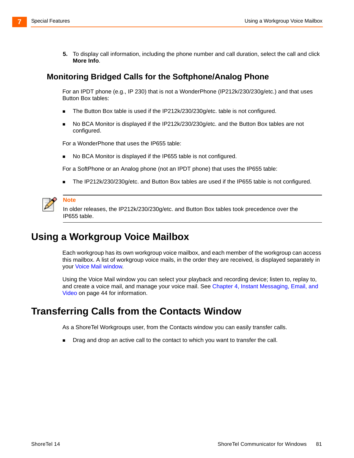**5.** To display call information, including the phone number and call duration, select the call and click **More Info**.

#### **Monitoring Bridged Calls for the Softphone/Analog Phone**

For an IPDT phone (e.g., IP 230) that is not a WonderPhone (IP212k/230/230g/etc.) and that uses Button Box tables:

- The Button Box table is used if the IP212k/230/230g/etc. table is not configured.
- No BCA Monitor is displayed if the IP212k/230/230g/etc. and the Button Box tables are not configured.

For a WonderPhone that uses the IP655 table:

■ No BCA Monitor is displayed if the IP655 table is not configured.

For a SoftPhone or an Analog phone (not an IPDT phone) that uses the IP655 table:

■ The IP212k/230/230g/etc. and Button Box tables are used if the IP655 table is not configured.



#### **Note**

In older releases, the IP212k/230/230g/etc. and Button Box tables took precedence over the IP655 table.

# <span id="page-80-0"></span>**Using a Workgroup Voice Mailbox**

Each workgroup has its own workgroup voice mailbox, and each member of the workgroup can access this mailbox. A list of workgroup voice mails, in the order they are received, is displayed separately in your Voice Mail window.

Using the Voice Mail window you can select your playback and recording device; listen to, replay to, and create a voice mail, and manage your voice mail. See [Chapter 4, Instant Messaging, Email, and](#page-43-0)  [Video on page 44](#page-43-0) for information.

## <span id="page-80-1"></span>**Transferring Calls from the Contacts Window**

As a ShoreTel Workgroups user, from the Contacts window you can easily transfer calls.

**Drag and drop an active call to the contact to which you want to transfer the call.**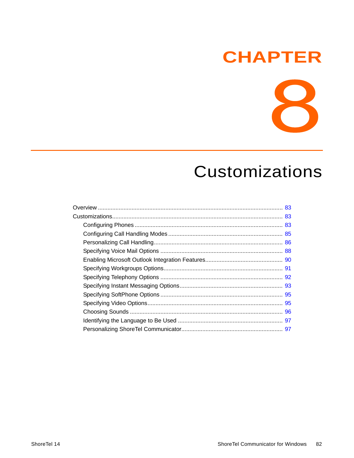# **CHAPTER**

8

# **Customizations**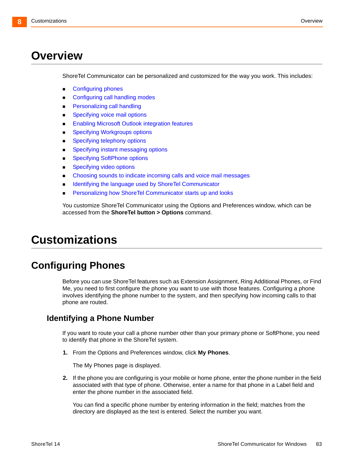# <span id="page-82-0"></span>**Overview**

ShoreTel Communicator can be personalized and customized for the way you work. This includes:

- Configuring phones
- [Configuring call handling modes](#page-84-1)
- **[Personalizing call handling](#page-85-0)**
- **[Specifying voice mail options](#page-87-0)**
- **[Enabling Microsoft Outlook integration features](#page-89-0)**
- **[Specifying Workgroups options](#page-90-2)**
- **[Specifying telephony options](#page-91-0)**
- [Specifying instant messaging options](#page-92-0)
- **[Specifying SoftPhone options](#page-94-0)**
- **[Specifying video options](#page-94-1)**
- **•** [Choosing sounds to indicate incoming calls and voice mail messages](#page-95-0)
- **IDENTIFY IDENTIFYING IS A LOCAL EXE** [Identifying the language used by ShoreTel Communicator](#page-96-0)
- **[Personalizing how ShoreTel Communicator starts up and looks](#page-96-1)**

You customize ShoreTel Communicator using the Options and Preferences window, which can be accessed from the **ShoreTel button > Options** command.

# <span id="page-82-1"></span>**Customizations**

# <span id="page-82-2"></span>**Configuring Phones**

Before you can use ShoreTel features such as Extension Assignment, Ring Additional Phones, or Find Me, you need to first configure the phone you want to use with those features. Configuring a phone involves identifying the phone number to the system, and then specifying how incoming calls to that phone are routed.

#### **Identifying a Phone Number**

If you want to route your call a phone number other than your primary phone or SoftPhone, you need to identify that phone in the ShoreTel system.

**1.** From the Options and Preferences window, click **My Phones**.

The My Phones page is displayed.

**2.** If the phone you are configuring is your mobile or home phone, enter the phone number in the field associated with that type of phone. Otherwise, enter a name for that phone in a Label field and enter the phone number in the associated field.

You can find a specific phone number by entering information in the field; matches from the directory are displayed as the text is entered. Select the number you want.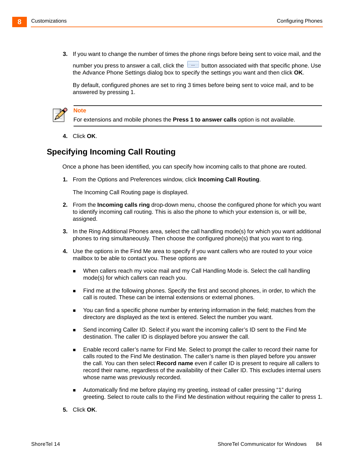**3.** If you want to change the number of times the phone rings before being sent to voice mail, and the

number you press to answer a call, click the **button associated with that specific phone**. Use the Advance Phone Settings dialog box to specify the settings you want and then click **OK**.

By default, configured phones are set to ring 3 times before being sent to voice mail, and to be answered by pressing 1.



#### **Note**

For extensions and mobile phones the **Press 1 to answer calls** option is not available.

**4.** Click **OK**.

### **Specifying Incoming Call Routing**

Once a phone has been identified, you can specify how incoming calls to that phone are routed.

**1.** From the Options and Preferences window, click **Incoming Call Routing**.

The Incoming Call Routing page is displayed.

- **2.** From the **Incoming calls ring** drop-down menu, choose the configured phone for which you want to identify incoming call routing. This is also the phone to which your extension is, or will be, assigned.
- **3.** In the Ring Additional Phones area, select the call handling mode(s) for which you want additional phones to ring simultaneously. Then choose the configured phone(s) that you want to ring.
- **4.** Use the options in the Find Me area to specify if you want callers who are routed to your voice mailbox to be able to contact you. These options are
	- When callers reach my voice mail and my Call Handling Mode is. Select the call handling mode(s) for which callers can reach you.
	- Find me at the following phones. Specify the first and second phones, in order, to which the call is routed. These can be internal extensions or external phones.
	- You can find a specific phone number by entering information in the field; matches from the directory are displayed as the text is entered. Select the number you want.
	- Send incoming Caller ID. Select if you want the incoming caller's ID sent to the Find Me destination. The caller ID is displayed before you answer the call.
	- **Enable record caller's name for Find Me. Select to prompt the caller to record their name for** calls routed to the Find Me destination. The caller's name is then played before you answer the call. You can then select **Record name** even if caller ID is present to require all callers to record their name, regardless of the availability of their Caller ID. This excludes internal users whose name was previously recorded.
	- Automatically find me before playing my greeting, instead of caller pressing "1" during greeting. Select to route calls to the Find Me destination without requiring the caller to press 1.
- **5.** Click **OK**.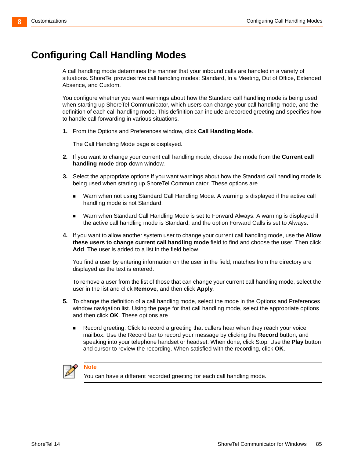# <span id="page-84-1"></span>**Configuring Call Handling Modes**

<span id="page-84-0"></span>A call handling mode determines the manner that your inbound calls are handled in a variety of situations. ShoreTel provides five call handling modes: Standard, In a Meeting, Out of Office, Extended Absence, and Custom.

You configure whether you want warnings about how the Standard call handling mode is being used when starting up ShoreTel Communicator, which users can change your call handling mode, and the definition of each call handling mode. This definition can include a recorded greeting and specifies how to handle call forwarding in various situations.

**1.** From the Options and Preferences window, click **Call Handling Mode**.

The Call Handling Mode page is displayed.

- **2.** If you want to change your current call handling mode, choose the mode from the **Current call handling mode** drop-down window.
- **3.** Select the appropriate options if you want warnings about how the Standard call handling mode is being used when starting up ShoreTel Communicator. These options are
	- Warn when not using Standard Call Handling Mode. A warning is displayed if the active call handling mode is not Standard.
	- Warn when Standard Call Handling Mode is set to Forward Always. A warning is displayed if the active call handling mode is Standard, and the option Forward Calls is set to Always.
- **4.** If you want to allow another system user to change your current call handling mode, use the **Allow these users to change current call handling mode** field to find and choose the user. Then click **Add**. The user is added to a list in the field below.

You find a user by entering information on the user in the field; matches from the directory are displayed as the text is entered.

To remove a user from the list of those that can change your current call handling mode, select the user in the list and click **Remove**, and then click **Apply**.

- **5.** To change the definition of a call handling mode, select the mode in the Options and Preferences window navigation list. Using the page for that call handling mode, select the appropriate options and then click **OK**. These options are
	- **Record greeting. Click to record a greeting that callers hear when they reach your voice** mailbox. Use the Record bar to record your message by clicking the **Record** button, and speaking into your telephone handset or headset. When done, click Stop. Use the **Play** button and cursor to review the recording. When satisfied with the recording, click **OK**.



#### **Note**

You can have a different recorded greeting for each call handling mode.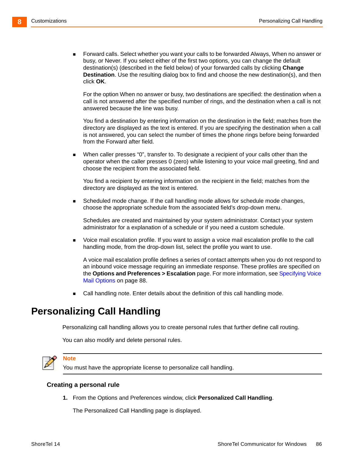Forward calls. Select whether you want your calls to be forwarded Always, When no answer or busy, or Never. If you select either of the first two options, you can change the default destination(s) (described in the field below) of your forwarded calls by clicking **Change Destination**. Use the resulting dialog box to find and choose the new destination(s), and then click **OK**.

For the option When no answer or busy, two destinations are specified: the destination when a call is not answered after the specified number of rings, and the destination when a call is not answered because the line was busy.

You find a destination by entering information on the destination in the field; matches from the directory are displayed as the text is entered. If you are specifying the destination when a call is not answered, you can select the number of times the phone rings before being forwarded from the Forward after field.

 When caller presses "0", transfer to. To designate a recipient of your calls other than the operator when the caller presses 0 (zero) while listening to your voice mail greeting, find and choose the recipient from the associated field.

You find a recipient by entering information on the recipient in the field; matches from the directory are displayed as the text is entered.

 Scheduled mode change. If the call handling mode allows for schedule mode changes, choose the appropriate schedule from the associated field's drop-down menu.

Schedules are created and maintained by your system administrator. Contact your system administrator for a explanation of a schedule or if you need a custom schedule.

 Voice mail escalation profile. If you want to assign a voice mail escalation profile to the call handling mode, from the drop-down list, select the profile you want to use.

A voice mail escalation profile defines a series of contact attempts when you do not respond to an inbound voice message requiring an immediate response. These profiles are specified on the **Options and Preferences > Escalation** page. For more information, see [Specifying Voice](#page-87-0)  [Mail Options on page 88](#page-87-0).

Call handling note. Enter details about the definition of this call handling mode.

# <span id="page-85-0"></span>**Personalizing Call Handling**

Personalizing call handling allows you to create personal rules that further define call routing.

You can also modify and delete personal rules.



#### **Note**

You must have the appropriate license to personalize call handling.

#### <span id="page-85-1"></span>**Creating a personal rule**

**1.** From the Options and Preferences window, click **Personalized Call Handling**.

The Personalized Call Handling page is displayed.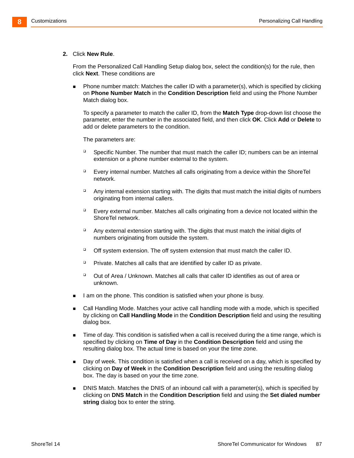#### **2.** Click **New Rule**.

From the Personalized Call Handling Setup dialog box, select the condition(s) for the rule, then click **Next**. These conditions are

 Phone number match: Matches the caller ID with a parameter(s), which is specified by clicking on **Phone Number Match** in the **Condition Description** field and using the Phone Number Match dialog box.

To specify a parameter to match the caller ID, from the **Match Type** drop-down list choose the parameter, enter the number in the associated field, and then click **OK**. Click **Add** or **Delete** to add or delete parameters to the condition.

The parameters are:

- □ Specific Number. The number that must match the caller ID; numbers can be an internal extension or a phone number external to the system.
- Every internal number. Matches all calls originating from a device within the ShoreTel network.
- $\Box$  Any internal extension starting with. The digits that must match the initial digits of numbers originating from internal callers.
- Every external number. Matches all calls originating from a device not located within the ShoreTel network.
- $\Box$  Any external extension starting with. The digits that must match the initial digits of numbers originating from outside the system.
- □ Off system extension. The off system extension that must match the caller ID.
- $\Box$  Private. Matches all calls that are identified by caller ID as private.
- $\Box$  Out of Area / Unknown. Matches all calls that caller ID identifies as out of area or unknown.
- I am on the phone. This condition is satisfied when your phone is busy.
- Call Handling Mode. Matches your active call handling mode with a mode, which is specified by clicking on **Call Handling Mode** in the **Condition Description** field and using the resulting dialog box.
- **Time of day. This condition is satisfied when a call is received during the a time range, which is** specified by clicking on **Time of Day** in the **Condition Description** field and using the resulting dialog box. The actual time is based on your the time zone.
- Day of week. This condition is satisfied when a call is received on a day, which is specified by clicking on **Day of Week** in the **Condition Description** field and using the resulting dialog box. The day is based on your the time zone.
- **DIS Match. Matches the DNIS of an inbound call with a parameter(s), which is specified by** clicking on **DNS Match** in the **Condition Description** field and using the **Set dialed number string** dialog box to enter the string.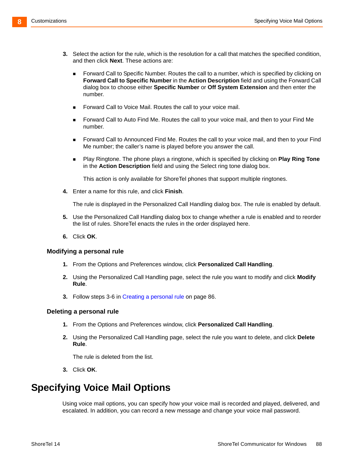- <span id="page-87-1"></span>**3.** Select the action for the rule, which is the resolution for a call that matches the specified condition, and then click **Next**. These actions are:
	- **Forward Call to Specific Number. Routes the call to a number, which is specified by clicking on Forward Call to Specific Number** in the **Action Description** field and using the Forward Call dialog box to choose either **Specific Number** or **Off System Extension** and then enter the number.
	- **Forward Call to Voice Mail. Routes the call to your voice mail.**
	- Forward Call to Auto Find Me. Routes the call to your voice mail, and then to your Find Me number.
	- **Forward Call to Announced Find Me. Routes the call to your voice mail, and then to your Find** Me number; the caller's name is played before you answer the call.
	- Play Ringtone. The phone plays a ringtone, which is specified by clicking on **Play Ring Tone** in the **Action Description** field and using the Select ring tone dialog box.

This action is only available for ShoreTel phones that support multiple ringtones.

**4.** Enter a name for this rule, and click **Finish**.

The rule is displayed in the Personalized Call Handling dialog box. The rule is enabled by default.

- **5.** Use the Personalized Call Handling dialog box to change whether a rule is enabled and to reorder the list of rules. ShoreTel enacts the rules in the order displayed here.
- **6.** Click **OK**.

#### <span id="page-87-2"></span>**Modifying a personal rule**

- **1.** From the Options and Preferences window, click **Personalized Call Handling**.
- **2.** Using the Personalized Call Handling page, select the rule you want to modify and click **Modify Rule**.
- **3.** Follow steps [3-](#page-87-1)[6](#page-87-2) in [Creating a personal rule on page 86](#page-85-1).

#### **Deleting a personal rule**

- **1.** From the Options and Preferences window, click **Personalized Call Handling**.
- **2.** Using the Personalized Call Handling page, select the rule you want to delete, and click **Delete Rule**.

The rule is deleted from the list.

**3.** Click **OK**.

# <span id="page-87-0"></span>**Specifying Voice Mail Options**

Using voice mail options, you can specify how your voice mail is recorded and played, delivered, and escalated. In addition, you can record a new message and change your voice mail password.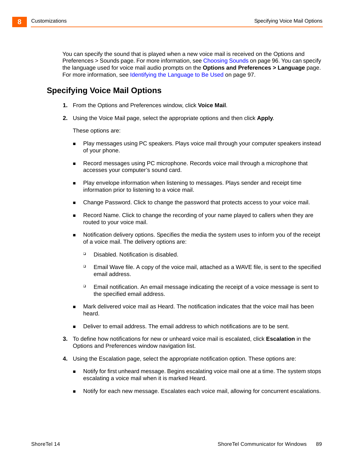You can specify the sound that is played when a new voice mail is received on the Options and Preferences > Sounds page. For more information, see [Choosing Sounds on page 96.](#page-95-0) You can specify the language used for voice mail audio prompts on the **Options and Preferences > Language** page. For more information, see [Identifying the Language to Be Used on page 97.](#page-96-0)

### **Specifying Voice Mail Options**

- **1.** From the Options and Preferences window, click **Voice Mail**.
- **2.** Using the Voice Mail page, select the appropriate options and then click **Apply**.

These options are:

- Play messages using PC speakers. Plays voice mail through your computer speakers instead of your phone.
- Record messages using PC microphone. Records voice mail through a microphone that accesses your computer's sound card.
- Play envelope information when listening to messages. Plays sender and receipt time information prior to listening to a voice mail.
- Change Password. Click to change the password that protects access to your voice mail.
- **Record Name. Click to change the recording of your name played to callers when they are** routed to your voice mail.
- **Notification delivery options. Specifies the media the system uses to inform you of the receipt** of a voice mail. The delivery options are:
	- Disabled. Notification is disabled.
	- $\Box$  Email Wave file. A copy of the voice mail, attached as a WAVE file, is sent to the specified email address.
	- $\Box$  Email notification. An email message indicating the receipt of a voice message is sent to the specified email address.
- Mark delivered voice mail as Heard. The notification indicates that the voice mail has been heard.
- Deliver to email address. The email address to which notifications are to be sent.
- **3.** To define how notifications for new or unheard voice mail is escalated, click **Escalation** in the Options and Preferences window navigation list.
- **4.** Using the Escalation page, select the appropriate notification option. These options are:
	- Notify for first unheard message. Begins escalating voice mail one at a time. The system stops escalating a voice mail when it is marked Heard.
	- Notify for each new message. Escalates each voice mail, allowing for concurrent escalations.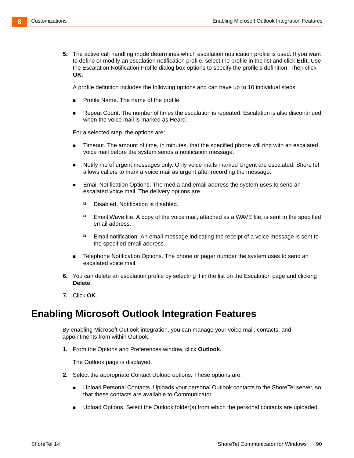**5.** The active call handling mode determines which escalation notification profile is used. If you want to define or modify an escalation notification profile, select the profile in the list and click **Edit**. Use the Escalation Notification Profile dialog box options to specify the profile's definition. Then click **OK**.

A profile definition includes the following options and can have up to 10 individual steps:

- Profile Name. The name of the profile.
- Repeat Count. The number of times the escalation is repeated. Escalation is also discontinued when the voice mail is marked as Heard.

For a selected step, the options are:

- **Timeout. The amount of time, in minutes, that the specified phone will ring with an escalated** voice mail before the system sends a notification message.
- Notify me of urgent messages only. Only voice mails marked Urgent are escalated. ShoreTel allows callers to mark a voice mail as urgent after recording the message.
- Email Notification Options. The media and email address the system uses to send an escalated voice mail. The delivery options are
	- Disabled. Notification is disabled.
	- $\Box$  Email Wave file. A copy of the voice mail, attached as a WAVE file, is sent to the specified email address.
	- $\Box$  Email notification. An email message indicating the receipt of a voice message is sent to the specified email address.
- Telephone Notification Options. The phone or pager number the system uses to send an escalated voice mail.
- **6.** You can delete an escalation profile by selecting it in the list on the Escalation page and clicking **Delete**.
- **7.** Click **OK**.

## <span id="page-89-0"></span>**Enabling Microsoft Outlook Integration Features**

By enabling Microsoft Outlook integration, you can manage your voice mail, contacts, and appointments from within Outlook.

**1.** From the Options and Preferences window, click **Outlook**.

The Outlook page is displayed.

- **2.** Select the appropriate Contact Upload options. These options are:
	- Upload Personal Contacts. Uploads your personal Outlook contacts to the ShoreTel server, so that these contacts are available to Communicator.
	- **Diamber 1** Upload Options. Select the Outlook folder(s) from which the personal contacts are uploaded.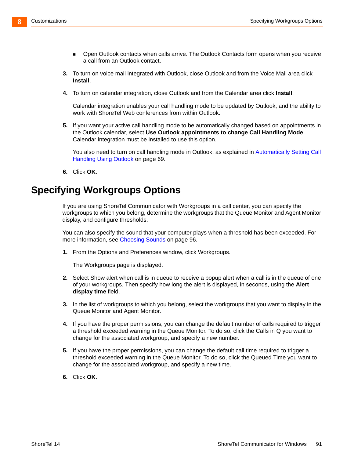- **Den Outlook contacts when calls arrive. The Outlook Contacts form opens when you receive** a call from an Outlook contact.
- **3.** To turn on voice mail integrated with Outlook, close Outlook and from the Voice Mail area click **Install**.
- **4.** To turn on calendar integration, close Outlook and from the Calendar area click **Install**.

Calendar integration enables your call handling mode to be updated by Outlook, and the ability to work with ShoreTel Web conferences from within Outlook.

**5.** If you want your active call handling mode to be automatically changed based on appointments in the Outlook calendar, select **Use Outlook appointments to change Call Handling Mode**. Calendar integration must be installed to use this option.

<span id="page-90-1"></span>You also need to turn on call handling mode in Outlook, as explained in Automatically Setting Call [Handling Using Outlook on page 69.](#page-68-0)

**6.** Click **OK**.

# <span id="page-90-2"></span><span id="page-90-0"></span>**Specifying Workgroups Options**

If you are using ShoreTel Communicator with Workgroups in a call center, you can specify the workgroups to which you belong, determine the workgroups that the Queue Monitor and Agent Monitor display, and configure thresholds.

You can also specify the sound that your computer plays when a threshold has been exceeded. For more information, see [Choosing Sounds on page 96.](#page-95-0)

**1.** From the Options and Preferences window, click Workgroups.

The Workgroups page is displayed.

- **2.** Select Show alert when call is in queue to receive a popup alert when a call is in the queue of one of your workgroups. Then specify how long the alert is displayed, in seconds, using the **Alert display time** field.
- **3.** In the list of workgroups to which you belong, select the workgroups that you want to display in the Queue Monitor and Agent Monitor.
- **4.** If you have the proper permissions, you can change the default number of calls required to trigger a threshold exceeded warning in the Queue Monitor. To do so, click the Calls in Q you want to change for the associated workgroup, and specify a new number.
- **5.** If you have the proper permissions, you can change the default call time required to trigger a threshold exceeded warning in the Queue Monitor. To do so, click the Queued Time you want to change for the associated workgroup, and specify a new time.
- **6.** Click **OK**.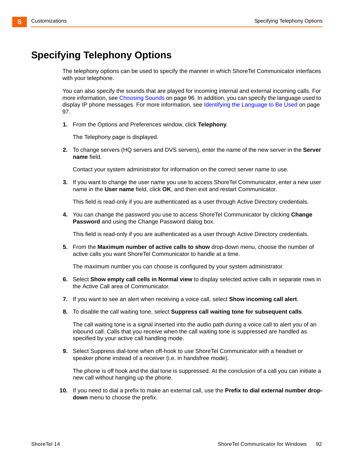# <span id="page-91-0"></span>**Specifying Telephony Options**

The telephony options can be used to specify the manner in which ShoreTel Communicator interfaces with your telephone.

You can also specify the sounds that are played for incoming internal and external incoming calls. For more information, see [Choosing Sounds on page 96](#page-95-0). In addition, you can specify the language used to display IP phone messages. For more information, see [Identifying the Language to Be Used on page](#page-96-0)  [97](#page-96-0).

**1.** From the Options and Preferences window, click **Telephony**.

The Telephony page is displayed.

**2.** To change servers (HQ servers and DVS servers), enter the name of the new server in the **Server name** field.

Contact your system administrator for information on the correct server name to use.

**3.** If you want to change the user name you use to access ShoreTel Communicator, enter a new user name in the **User name** field, click **OK**, and then exit and restart Communicator.

This field is read-only if you are authenticated as a user through Active Directory credentials.

**4.** You can change the password you use to access ShoreTel Communicator by clicking **Change Password** and using the Change Password dialog box.

This field is read-only if you are authenticated as a user through Active Directory credentials.

**5.** From the **Maximum number of active calls to show** drop-down menu, choose the number of active calls you want ShoreTel Communicator to handle at a time.

The maximum number you can choose is configured by your system administrator.

- **6.** Select **Show empty call cells in Normal view** to display selected active calls in separate rows in the Active Call area of Communicator.
- **7.** If you want to see an alert when receiving a voice call, select **Show incoming call alert**.
- **8.** To disable the call waiting tone, select **Suppress call waiting tone for subsequent calls**.

The call waiting tone is a signal inserted into the audio path during a voice call to alert you of an inbound call. Calls that you receive when the call waiting tone is suppressed are handled as specified by your active call handling mode.

**9.** Select Suppress dial-tone when off-hook to use ShoreTel Communicator with a headset or speaker phone instead of a receiver (i.e. in handsfree mode).

The phone is off hook and the dial tone is suppressed. At the conclusion of a call you can initiate a new call without hanging up the phone.

**10.** If you need to dial a prefix to make an external call, use the **Prefix to dial external number dropdown** menu to choose the prefix.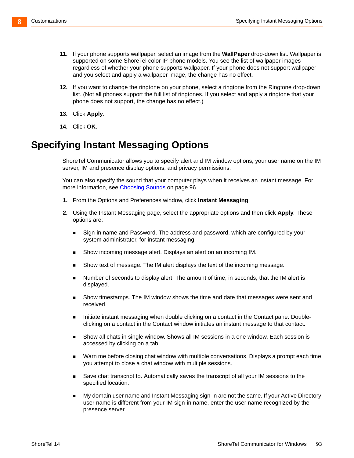- **11.** If your phone supports wallpaper, select an image from the **WallPaper** drop-down list. Wallpaper is supported on some ShoreTel color IP phone models. You see the list of wallpaper images regardless of whether your phone supports wallpaper. If your phone does not support wallpaper and you select and apply a wallpaper image, the change has no effect.
- **12.** If you want to change the ringtone on your phone, select a ringtone from the Ringtone drop-down list. (Not all phones support the full list of ringtones. If you select and apply a ringtone that your phone does not support, the change has no effect.)
- **13.** Click **Apply**.
- **14.** Click **OK**.

# <span id="page-92-0"></span>**Specifying Instant Messaging Options**

ShoreTel Communicator allows you to specify alert and IM window options, your user name on the IM server, IM and presence display options, and privacy permissions.

You can also specify the sound that your computer plays when it receives an instant message. For more information, see [Choosing Sounds on page 96.](#page-95-0)

- **1.** From the Options and Preferences window, click **Instant Messaging**.
- **2.** Using the Instant Messaging page, select the appropriate options and then click **Apply**. These options are:
	- Sign-in name and Password. The address and password, which are configured by your system administrator, for instant messaging.
	- Show incoming message alert. Displays an alert on an incoming IM.
	- Show text of message. The IM alert displays the text of the incoming message.
	- Number of seconds to display alert. The amount of time, in seconds, that the IM alert is displayed.
	- Show timestamps. The IM window shows the time and date that messages were sent and received.
	- Initiate instant messaging when double clicking on a contact in the Contact pane. Doubleclicking on a contact in the Contact window initiates an instant message to that contact.
	- Show all chats in single window. Shows all IM sessions in a one window. Each session is accessed by clicking on a tab.
	- Warn me before closing chat window with multiple conversations. Displays a prompt each time you attempt to close a chat window with multiple sessions.
	- Save chat transcript to. Automatically saves the transcript of all your IM sessions to the specified location.
	- My domain user name and Instant Messaging sign-in are not the same. If your Active Directory user name is different from your IM sign-in name, enter the user name recognized by the presence server.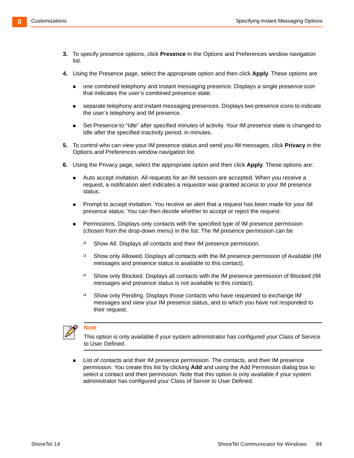- **3.** To specify presence options, click **Presence** in the Options and Preferences window navigation list.
- **4.** Using the Presence page, select the appropriate option and then click **Apply**. These options are
	- one combined telephony and instant messaging presence. Displays a single presence icon that indicates the user's combined presence state.
	- separate telephony and instant messaging presences. Displays two presence icons to indicate the user's telephony and IM presence.
	- Set Presence to "Idle" after specified minutes of activity. Your IM presence state is changed to Idle after the specified inactivity period, in minutes.
- **5.** To control who can view your IM presence status and send you IM messages, click **Privacy** in the Options and Preferences window navigation list.
- **6.** Using the Privacy page, select the appropriate option and then click **Apply**. These options are:
	- Auto accept invitation. All requests for an IM session are accepted. When you receive a request, a notification alert indicates a requestor was granted access to your IM presence status.
	- **Prompt to accept invitation. You receive an alert that a request has been made for your IM** presence status. You can then decide whether to accept or reject the request.
	- **Permissions. Displays only contacts with the specified type of IM presence permission** (chosen from the drop-down menu) in the list. The IM presence permission can be
		- Show All. Displays all contacts and their IM presence permission.
		- □ Show only Allowed. Displays all contacts with the IM presence permission of Available (IM messages and presence status is available to this contact).
		- □ Show only Blocked. Displays all contacts with the IM presence permission of Blocked (IM messages and presence status is not available to this contact).
		- Show only Pending. Displays those contacts who have requested to exchange IM messages and view your IM presence status, and to which you have not responded to their request.



#### **Note**

This option is only available if your system administrator has configured your Class of Service to User Defined.

**EXECT** List of contacts and their IM presence permission. The contacts, and their IM presence permission. You create this list by clicking **Add** and using the Add Permission dialog box to select a contact and their permission. Note that this option is only available if your system administrator has configured your Class of Server to User Defined.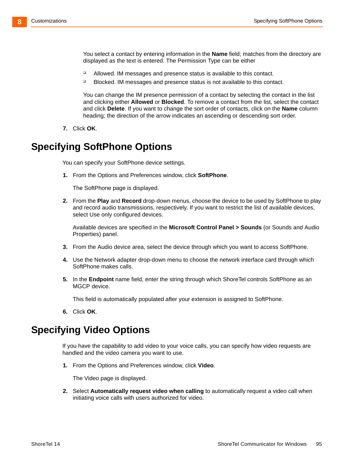You select a contact by entering information in the **Name** field; matches from the directory are displayed as the text is entered. The Permission Type can be either

- □ Allowed. IM messages and presence status is available to this contact.
- □ Blocked. IM messages and presence status is not available to this contact.

You can change the IM presence permission of a contact by selecting the contact in the list and clicking either **Allowed** or **Blocked**. To remove a contact from the list, select the contact and click **Delete**. If you want to change the sort order of contacts, click on the **Name** column heading; the direction of the arrow indicates an ascending or descending sort order.

**7.** Click **OK**.

### <span id="page-94-0"></span>**Specifying SoftPhone Options**

You can specify your SoftPhone device settings.

**1.** From the Options and Preferences window, click **SoftPhone**.

The SoftPhone page is displayed.

**2.** From the **Play** and **Record** drop-down menus, choose the device to be used by SoftPhone to play and record audio transmissions, respectively. If you want to restrict the list of available devices, select Use only configured devices.

Available devices are specified in the **Microsoft Control Panel > Sounds** (or Sounds and Audio Properties) panel.

- **3.** From the Audio device area, select the device through which you want to access SoftPhone.
- **4.** Use the Network adapter drop-down menu to choose the network interface card through which SoftPhone makes calls.
- **5.** In the **Endpoint** name field, enter the string through which ShoreTel controls SoftPhone as an MGCP device.

This field is automatically populated after your extension is assigned to SoftPhone.

**6.** Click **OK**.

### <span id="page-94-1"></span>**Specifying Video Options**

If you have the capability to add video to your voice calls, you can specify how video requests are handled and the video camera you want to use.

**1.** From the Options and Preferences window, click **Video**.

The Video page is displayed.

**2.** Select **Automatically request video when calling** to automatically request a video call when initiating voice calls with users authorized for video.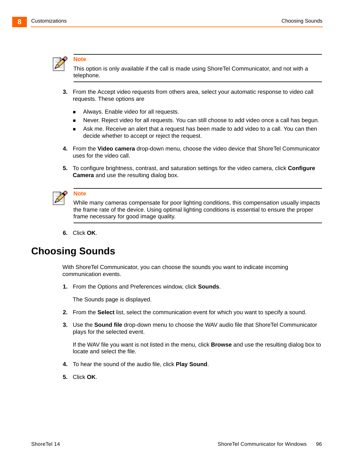

#### **Note**

This option is only available if the call is made using ShoreTel Communicator, and not with a telephone.

- **3.** From the Accept video requests from others area, select your automatic response to video call requests. These options are
	- Always. Enable video for all requests.
	- Never. Reject video for all requests. You can still choose to add video once a call has begun.
	- Ask me. Receive an alert that a request has been made to add video to a call. You can then decide whether to accept or reject the request.
- **4.** From the **Video camera** drop-down menu, choose the video device that ShoreTel Communicator uses for the video call.
- **5.** To configure brightness, contrast, and saturation settings for the video camera, click **Configure Camera** and use the resulting dialog box.



#### **Note**

While many cameras compensate for poor lighting conditions, this compensation usually impacts the frame rate of the device. Using optimal lighting conditions is essential to ensure the proper frame necessary for good image quality.

**6.** Click **OK**.

# <span id="page-95-0"></span>**Choosing Sounds**

With ShoreTel Communicator, you can choose the sounds you want to indicate incoming communication events.

**1.** From the Options and Preferences window, click **Sounds**.

The Sounds page is displayed.

- **2.** From the **Select** list, select the communication event for which you want to specify a sound.
- **3.** Use the **Sound file** drop-down menu to choose the WAV audio file that ShoreTel Communicator plays for the selected event.

If the WAV file you want is not listed in the menu, click **Browse** and use the resulting dialog box to locate and select the file.

- **4.** To hear the sound of the audio file, click **Play Sound**.
- **5.** Click **OK**.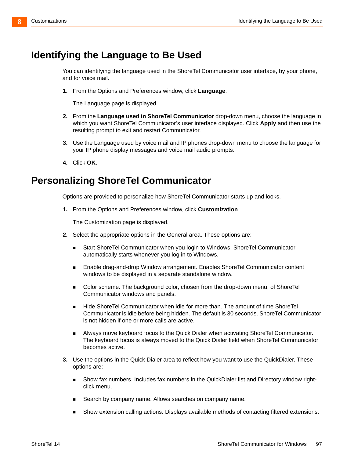# <span id="page-96-0"></span>**Identifying the Language to Be Used**

You can identifying the language used in the ShoreTel Communicator user interface, by your phone, and for voice mail.

**1.** From the Options and Preferences window, click **Language**.

The Language page is displayed.

- **2.** From the **Language used in ShoreTel Communicator** drop-down menu, choose the language in which you want ShoreTel Communicator's user interface displayed. Click **Apply** and then use the resulting prompt to exit and restart Communicator.
- **3.** Use the Language used by voice mail and IP phones drop-down menu to choose the language for your IP phone display messages and voice mail audio prompts.
- **4.** Click **OK**.

### <span id="page-96-1"></span>**Personalizing ShoreTel Communicator**

Options are provided to personalize how ShoreTel Communicator starts up and looks.

**1.** From the Options and Preferences window, click **Customization**.

The Customization page is displayed.

- **2.** Select the appropriate options in the General area. These options are:
	- Start ShoreTel Communicator when you login to Windows. ShoreTel Communicator automatically starts whenever you log in to Windows.
	- Enable drag-and-drop Window arrangement. Enables ShoreTel Communicator content windows to be displayed in a separate standalone window.
	- Color scheme. The background color, chosen from the drop-down menu, of ShoreTel Communicator windows and panels.
	- Hide ShoreTel Communicator when idle for more than. The amount of time ShoreTel Communicator is idle before being hidden. The default is 30 seconds. ShoreTel Communicator is not hidden if one or more calls are active.
	- Always move keyboard focus to the Quick Dialer when activating ShoreTel Communicator. The keyboard focus is always moved to the Quick Dialer field when ShoreTel Communicator becomes active.
- **3.** Use the options in the Quick Dialer area to reflect how you want to use the QuickDialer. These options are:
	- Show fax numbers. Includes fax numbers in the QuickDialer list and Directory window rightclick menu.
	- Search by company name. Allows searches on company name.
	- Show extension calling actions. Displays available methods of contacting filtered extensions.